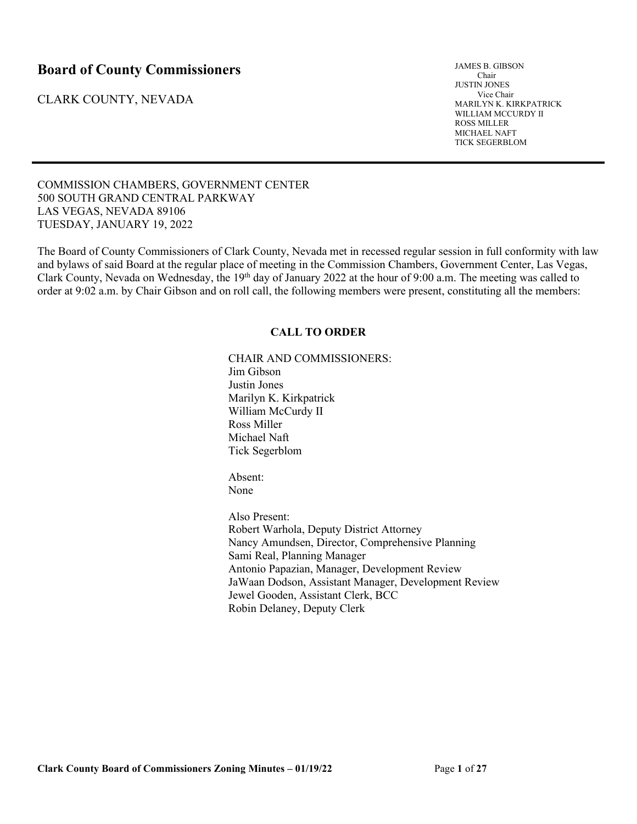# **Board of County Commissioners**

CLARK COUNTY, NEVADA

JAMES B. GIBSON Chair JUSTIN JONES Vice Chair MARILYN K. KIRKPATRICK WILLIAM MCCURDY II ROSS MILLER MICHAEL NAFT TICK SEGERBLOM

COMMISSION CHAMBERS, GOVERNMENT CENTER 500 SOUTH GRAND CENTRAL PARKWAY LAS VEGAS, NEVADA 89106 TUESDAY, JANUARY 19, 2022

The Board of County Commissioners of Clark County, Nevada met in recessed regular session in full conformity with law and bylaws of said Board at the regular place of meeting in the Commission Chambers, Government Center, Las Vegas, Clark County, Nevada on Wednesday, the 19<sup>th</sup> day of January 2022 at the hour of 9:00 a.m. The meeting was called to order at 9:02 a.m. by Chair Gibson and on roll call, the following members were present, constituting all the members:

# **CALL TO ORDER**

CHAIR AND COMMISSIONERS: Jim Gibson Justin Jones Marilyn K. Kirkpatrick William McCurdy II Ross Miller Michael Naft Tick Segerblom

Absent: None

Also Present: Robert Warhola, Deputy District Attorney Nancy Amundsen, Director, Comprehensive Planning Sami Real, Planning Manager Antonio Papazian, Manager, Development Review JaWaan Dodson, Assistant Manager, Development Review Jewel Gooden, Assistant Clerk, BCC Robin Delaney, Deputy Clerk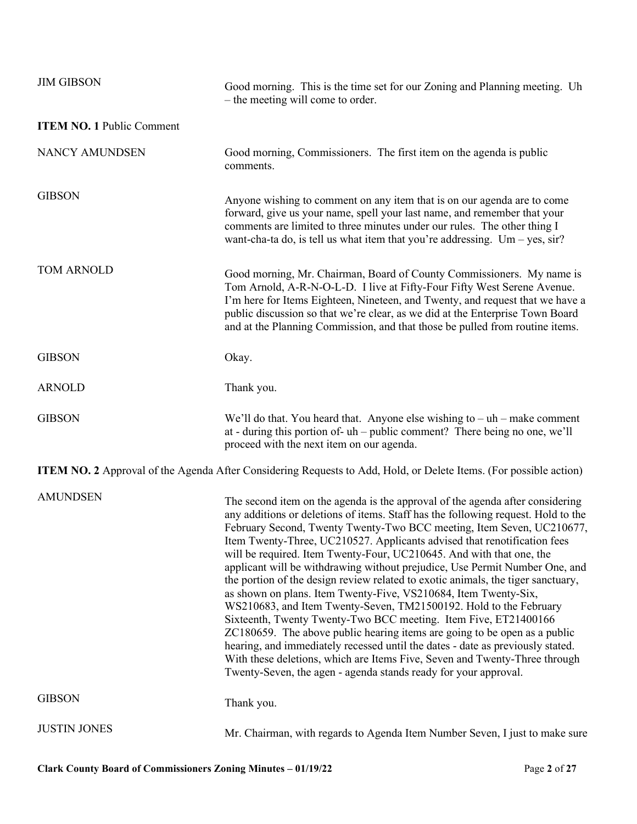| <b>JIM GIBSON</b>                | Good morning. This is the time set for our Zoning and Planning meeting. Uh<br>- the meeting will come to order.                                                                                                                                                                                                                                                                                                                                                                                                                                                                                                                                                                                                                                                                                                                                                                                                                                                                                                                                                                               |
|----------------------------------|-----------------------------------------------------------------------------------------------------------------------------------------------------------------------------------------------------------------------------------------------------------------------------------------------------------------------------------------------------------------------------------------------------------------------------------------------------------------------------------------------------------------------------------------------------------------------------------------------------------------------------------------------------------------------------------------------------------------------------------------------------------------------------------------------------------------------------------------------------------------------------------------------------------------------------------------------------------------------------------------------------------------------------------------------------------------------------------------------|
| <b>ITEM NO. 1 Public Comment</b> |                                                                                                                                                                                                                                                                                                                                                                                                                                                                                                                                                                                                                                                                                                                                                                                                                                                                                                                                                                                                                                                                                               |
| <b>NANCY AMUNDSEN</b>            | Good morning, Commissioners. The first item on the agenda is public<br>comments.                                                                                                                                                                                                                                                                                                                                                                                                                                                                                                                                                                                                                                                                                                                                                                                                                                                                                                                                                                                                              |
| <b>GIBSON</b>                    | Anyone wishing to comment on any item that is on our agenda are to come<br>forward, give us your name, spell your last name, and remember that your<br>comments are limited to three minutes under our rules. The other thing I<br>want-cha-ta do, is tell us what item that you're addressing. Um – yes, $\sin$ ?                                                                                                                                                                                                                                                                                                                                                                                                                                                                                                                                                                                                                                                                                                                                                                            |
| TOM ARNOLD                       | Good morning, Mr. Chairman, Board of County Commissioners. My name is<br>Tom Arnold, A-R-N-O-L-D. I live at Fifty-Four Fifty West Serene Avenue.<br>I'm here for Items Eighteen, Nineteen, and Twenty, and request that we have a<br>public discussion so that we're clear, as we did at the Enterprise Town Board<br>and at the Planning Commission, and that those be pulled from routine items.                                                                                                                                                                                                                                                                                                                                                                                                                                                                                                                                                                                                                                                                                            |
| <b>GIBSON</b>                    | Okay.                                                                                                                                                                                                                                                                                                                                                                                                                                                                                                                                                                                                                                                                                                                                                                                                                                                                                                                                                                                                                                                                                         |
| <b>ARNOLD</b>                    | Thank you.                                                                                                                                                                                                                                                                                                                                                                                                                                                                                                                                                                                                                                                                                                                                                                                                                                                                                                                                                                                                                                                                                    |
| <b>GIBSON</b>                    | We'll do that. You heard that. Anyone else wishing to $-$ uh $-$ make comment<br>at - during this portion of- uh – public comment? There being no one, we'll<br>proceed with the next item on our agenda.                                                                                                                                                                                                                                                                                                                                                                                                                                                                                                                                                                                                                                                                                                                                                                                                                                                                                     |
|                                  | <b>ITEM NO. 2</b> Approval of the Agenda After Considering Requests to Add, Hold, or Delete Items. (For possible action)                                                                                                                                                                                                                                                                                                                                                                                                                                                                                                                                                                                                                                                                                                                                                                                                                                                                                                                                                                      |
| <b>AMUNDSEN</b>                  | The second item on the agenda is the approval of the agenda after considering<br>any additions or deletions of items. Staff has the following request. Hold to the<br>February Second, Twenty Twenty-Two BCC meeting, Item Seven, UC210677,<br>Item Twenty-Three, UC210527. Applicants advised that renotification fees<br>will be required. Item Twenty-Four, UC210645. And with that one, the<br>applicant will be withdrawing without prejudice, Use Permit Number One, and<br>the portion of the design review related to exotic animals, the tiger sanctuary,<br>as shown on plans. Item Twenty-Five, VS210684, Item Twenty-Six,<br>WS210683, and Item Twenty-Seven, TM21500192. Hold to the February<br>Sixteenth, Twenty Twenty-Two BCC meeting. Item Five, ET21400166<br>ZC180659. The above public hearing items are going to be open as a public<br>hearing, and immediately recessed until the dates - date as previously stated.<br>With these deletions, which are Items Five, Seven and Twenty-Three through<br>Twenty-Seven, the agen - agenda stands ready for your approval. |
| <b>GIBSON</b>                    | Thank you.                                                                                                                                                                                                                                                                                                                                                                                                                                                                                                                                                                                                                                                                                                                                                                                                                                                                                                                                                                                                                                                                                    |
| <b>JUSTIN JONES</b>              | Mr. Chairman, with regards to Agenda Item Number Seven, I just to make sure                                                                                                                                                                                                                                                                                                                                                                                                                                                                                                                                                                                                                                                                                                                                                                                                                                                                                                                                                                                                                   |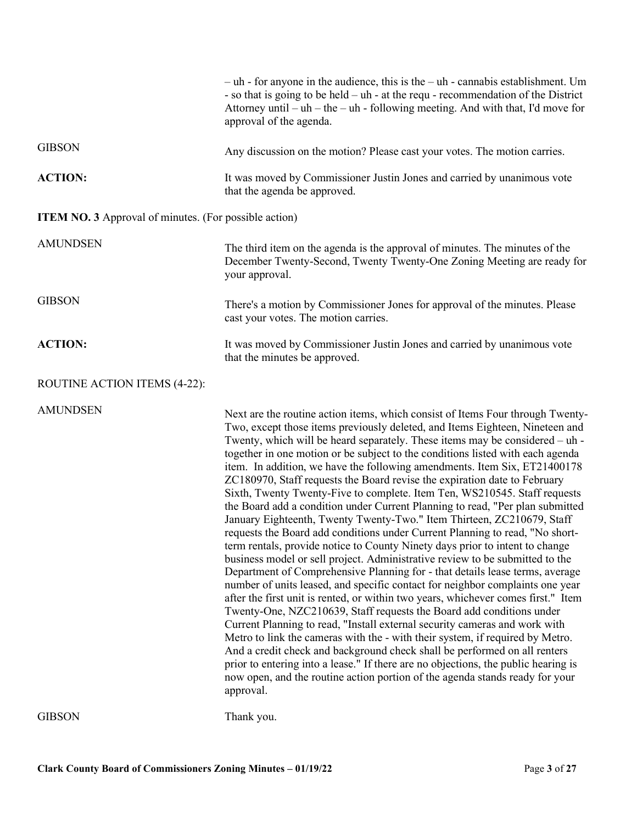|                                                              | $-$ uh - for anyone in the audience, this is the $-$ uh - cannabis establishment. Um<br>- so that is going to be held - uh - at the requ - recommendation of the District<br>Attorney until - uh - the - uh - following meeting. And with that, I'd move for<br>approval of the agenda.                                                                                                                                                                                                                                                                                                                                                                                                                                                                                                                                                                                                                                                                                                                                                                                                                                                                                                                                                                                                                                                                                                                                                                                                                                                                                                                                                                                                                                                         |
|--------------------------------------------------------------|-------------------------------------------------------------------------------------------------------------------------------------------------------------------------------------------------------------------------------------------------------------------------------------------------------------------------------------------------------------------------------------------------------------------------------------------------------------------------------------------------------------------------------------------------------------------------------------------------------------------------------------------------------------------------------------------------------------------------------------------------------------------------------------------------------------------------------------------------------------------------------------------------------------------------------------------------------------------------------------------------------------------------------------------------------------------------------------------------------------------------------------------------------------------------------------------------------------------------------------------------------------------------------------------------------------------------------------------------------------------------------------------------------------------------------------------------------------------------------------------------------------------------------------------------------------------------------------------------------------------------------------------------------------------------------------------------------------------------------------------------|
| <b>GIBSON</b>                                                | Any discussion on the motion? Please cast your votes. The motion carries.                                                                                                                                                                                                                                                                                                                                                                                                                                                                                                                                                                                                                                                                                                                                                                                                                                                                                                                                                                                                                                                                                                                                                                                                                                                                                                                                                                                                                                                                                                                                                                                                                                                                       |
| <b>ACTION:</b>                                               | It was moved by Commissioner Justin Jones and carried by unanimous vote<br>that the agenda be approved.                                                                                                                                                                                                                                                                                                                                                                                                                                                                                                                                                                                                                                                                                                                                                                                                                                                                                                                                                                                                                                                                                                                                                                                                                                                                                                                                                                                                                                                                                                                                                                                                                                         |
| <b>ITEM NO. 3</b> Approval of minutes. (For possible action) |                                                                                                                                                                                                                                                                                                                                                                                                                                                                                                                                                                                                                                                                                                                                                                                                                                                                                                                                                                                                                                                                                                                                                                                                                                                                                                                                                                                                                                                                                                                                                                                                                                                                                                                                                 |
| <b>AMUNDSEN</b>                                              | The third item on the agenda is the approval of minutes. The minutes of the<br>December Twenty-Second, Twenty Twenty-One Zoning Meeting are ready for<br>your approval.                                                                                                                                                                                                                                                                                                                                                                                                                                                                                                                                                                                                                                                                                                                                                                                                                                                                                                                                                                                                                                                                                                                                                                                                                                                                                                                                                                                                                                                                                                                                                                         |
| <b>GIBSON</b>                                                | There's a motion by Commissioner Jones for approval of the minutes. Please<br>cast your votes. The motion carries.                                                                                                                                                                                                                                                                                                                                                                                                                                                                                                                                                                                                                                                                                                                                                                                                                                                                                                                                                                                                                                                                                                                                                                                                                                                                                                                                                                                                                                                                                                                                                                                                                              |
| <b>ACTION:</b>                                               | It was moved by Commissioner Justin Jones and carried by unanimous vote<br>that the minutes be approved.                                                                                                                                                                                                                                                                                                                                                                                                                                                                                                                                                                                                                                                                                                                                                                                                                                                                                                                                                                                                                                                                                                                                                                                                                                                                                                                                                                                                                                                                                                                                                                                                                                        |
| ROUTINE ACTION ITEMS (4-22):                                 |                                                                                                                                                                                                                                                                                                                                                                                                                                                                                                                                                                                                                                                                                                                                                                                                                                                                                                                                                                                                                                                                                                                                                                                                                                                                                                                                                                                                                                                                                                                                                                                                                                                                                                                                                 |
| <b>AMUNDSEN</b>                                              | Next are the routine action items, which consist of Items Four through Twenty-<br>Two, except those items previously deleted, and Items Eighteen, Nineteen and<br>Twenty, which will be heard separately. These items may be considered - uh -<br>together in one motion or be subject to the conditions listed with each agenda<br>item. In addition, we have the following amendments. Item Six, ET21400178<br>ZC180970, Staff requests the Board revise the expiration date to February<br>Sixth, Twenty Twenty-Five to complete. Item Ten, WS210545. Staff requests<br>the Board add a condition under Current Planning to read, "Per plan submitted<br>January Eighteenth, Twenty Twenty-Two." Item Thirteen, ZC210679, Staff<br>requests the Board add conditions under Current Planning to read, "No short-<br>term rentals, provide notice to County Ninety days prior to intent to change<br>business model or sell project. Administrative review to be submitted to the<br>Department of Comprehensive Planning for - that details lease terms, average<br>number of units leased, and specific contact for neighbor complaints one year<br>after the first unit is rented, or within two years, whichever comes first." Item<br>Twenty-One, NZC210639, Staff requests the Board add conditions under<br>Current Planning to read, "Install external security cameras and work with<br>Metro to link the cameras with the - with their system, if required by Metro.<br>And a credit check and background check shall be performed on all renters<br>prior to entering into a lease." If there are no objections, the public hearing is<br>now open, and the routine action portion of the agenda stands ready for your<br>approval. |
| <b>GIBSON</b>                                                | Thank you.                                                                                                                                                                                                                                                                                                                                                                                                                                                                                                                                                                                                                                                                                                                                                                                                                                                                                                                                                                                                                                                                                                                                                                                                                                                                                                                                                                                                                                                                                                                                                                                                                                                                                                                                      |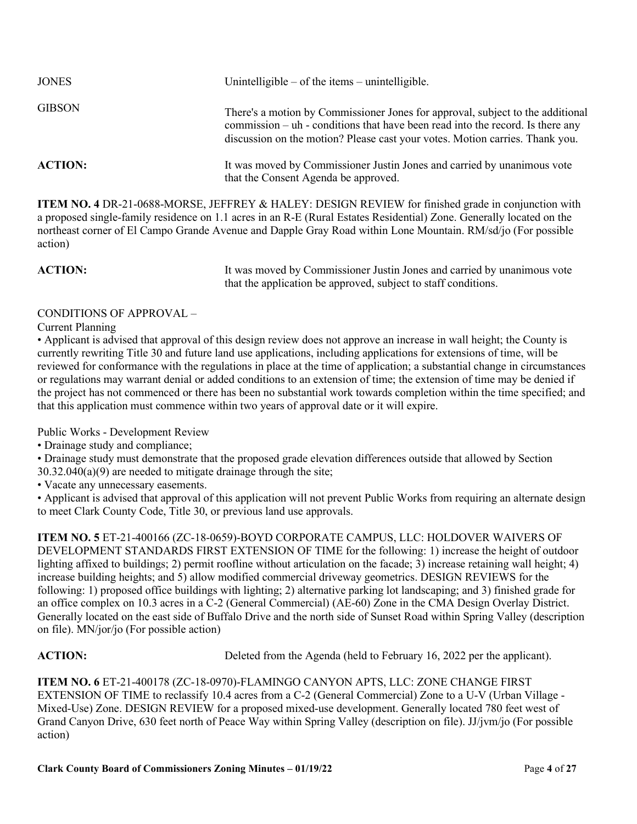| <b>JONES</b>   | Unintelligible $-$ of the items $-$ unintelligible.                                                                                                                                                                                                |
|----------------|----------------------------------------------------------------------------------------------------------------------------------------------------------------------------------------------------------------------------------------------------|
| <b>GIBSON</b>  | There's a motion by Commissioner Jones for approval, subject to the additional<br>commission $-\nu$ - conditions that have been read into the record. Is there any<br>discussion on the motion? Please cast your votes. Motion carries. Thank you. |
| <b>ACTION:</b> | It was moved by Commissioner Justin Jones and carried by unanimous vote<br>that the Consent Agenda be approved.                                                                                                                                    |

**ITEM NO. 4** DR-21-0688-MORSE, JEFFREY & HALEY: DESIGN REVIEW for finished grade in conjunction with a proposed single-family residence on 1.1 acres in an R-E (Rural Estates Residential) Zone. Generally located on the northeast corner of El Campo Grande Avenue and Dapple Gray Road within Lone Mountain. RM/sd/jo (For possible action)

**ACTION:** It was moved by Commissioner Justin Jones and carried by unanimous vote that the application be approved, subject to staff conditions.

# CONDITIONS OF APPROVAL –

Current Planning

• Applicant is advised that approval of this design review does not approve an increase in wall height; the County is currently rewriting Title 30 and future land use applications, including applications for extensions of time, will be reviewed for conformance with the regulations in place at the time of application; a substantial change in circumstances or regulations may warrant denial or added conditions to an extension of time; the extension of time may be denied if the project has not commenced or there has been no substantial work towards completion within the time specified; and that this application must commence within two years of approval date or it will expire.

Public Works - Development Review

• Drainage study and compliance;

• Drainage study must demonstrate that the proposed grade elevation differences outside that allowed by Section 30.32.040(a)(9) are needed to mitigate drainage through the site;

• Vacate any unnecessary easements.

• Applicant is advised that approval of this application will not prevent Public Works from requiring an alternate design to meet Clark County Code, Title 30, or previous land use approvals.

**ITEM NO. 5** ET-21-400166 (ZC-18-0659)-BOYD CORPORATE CAMPUS, LLC: HOLDOVER WAIVERS OF DEVELOPMENT STANDARDS FIRST EXTENSION OF TIME for the following: 1) increase the height of outdoor lighting affixed to buildings; 2) permit roofline without articulation on the facade; 3) increase retaining wall height; 4) increase building heights; and 5) allow modified commercial driveway geometrics. DESIGN REVIEWS for the following: 1) proposed office buildings with lighting; 2) alternative parking lot landscaping; and 3) finished grade for an office complex on 10.3 acres in a C-2 (General Commercial) (AE-60) Zone in the CMA Design Overlay District. Generally located on the east side of Buffalo Drive and the north side of Sunset Road within Spring Valley (description on file). MN/jor/jo (For possible action)

ACTION: Deleted from the Agenda (held to February 16, 2022 per the applicant).

**ITEM NO. 6** ET-21-400178 (ZC-18-0970)-FLAMINGO CANYON APTS, LLC: ZONE CHANGE FIRST EXTENSION OF TIME to reclassify 10.4 acres from a C-2 (General Commercial) Zone to a U-V (Urban Village - Mixed-Use) Zone. DESIGN REVIEW for a proposed mixed-use development. Generally located 780 feet west of Grand Canyon Drive, 630 feet north of Peace Way within Spring Valley (description on file). JJ/jvm/jo (For possible action)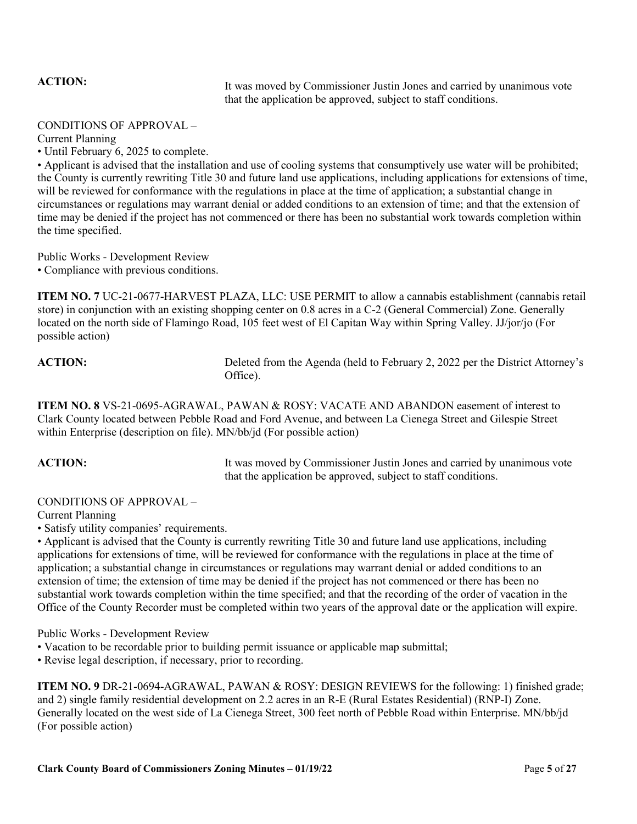ACTION: It was moved by Commissioner Justin Jones and carried by unanimous vote that the application be approved, subject to staff conditions.

### CONDITIONS OF APPROVAL –

Current Planning

• Until February 6, 2025 to complete.

• Applicant is advised that the installation and use of cooling systems that consumptively use water will be prohibited; the County is currently rewriting Title 30 and future land use applications, including applications for extensions of time, will be reviewed for conformance with the regulations in place at the time of application; a substantial change in circumstances or regulations may warrant denial or added conditions to an extension of time; and that the extension of time may be denied if the project has not commenced or there has been no substantial work towards completion within the time specified.

Public Works - Development Review • Compliance with previous conditions.

**ITEM NO. 7** UC-21-0677-HARVEST PLAZA, LLC: USE PERMIT to allow a cannabis establishment (cannabis retail store) in conjunction with an existing shopping center on 0.8 acres in a C-2 (General Commercial) Zone. Generally located on the north side of Flamingo Road, 105 feet west of El Capitan Way within Spring Valley. JJ/jor/jo (For possible action)

**ACTION:** Deleted from the Agenda (held to February 2, 2022 per the District Attorney's Office).

**ITEM NO. 8** VS-21-0695-AGRAWAL, PAWAN & ROSY: VACATE AND ABANDON easement of interest to Clark County located between Pebble Road and Ford Avenue, and between La Cienega Street and Gilespie Street within Enterprise (description on file). MN/bb/jd (For possible action)

ACTION: It was moved by Commissioner Justin Jones and carried by unanimous vote that the application be approved, subject to staff conditions.

# CONDITIONS OF APPROVAL –

Current Planning

• Satisfy utility companies' requirements.

• Applicant is advised that the County is currently rewriting Title 30 and future land use applications, including applications for extensions of time, will be reviewed for conformance with the regulations in place at the time of application; a substantial change in circumstances or regulations may warrant denial or added conditions to an extension of time; the extension of time may be denied if the project has not commenced or there has been no substantial work towards completion within the time specified; and that the recording of the order of vacation in the Office of the County Recorder must be completed within two years of the approval date or the application will expire.

Public Works - Development Review

- Vacation to be recordable prior to building permit issuance or applicable map submittal;
- Revise legal description, if necessary, prior to recording.

**ITEM NO. 9** DR-21-0694-AGRAWAL, PAWAN & ROSY: DESIGN REVIEWS for the following: 1) finished grade; and 2) single family residential development on 2.2 acres in an R-E (Rural Estates Residential) (RNP-I) Zone. Generally located on the west side of La Cienega Street, 300 feet north of Pebble Road within Enterprise. MN/bb/jd (For possible action)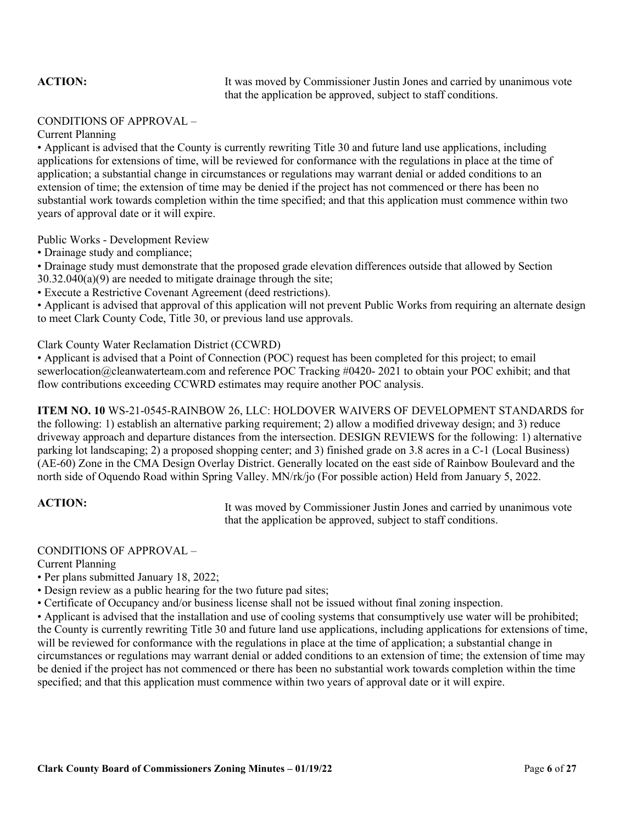**ACTION:** It was moved by Commissioner Justin Jones and carried by unanimous vote that the application be approved, subject to staff conditions.

### CONDITIONS OF APPROVAL –

Current Planning

• Applicant is advised that the County is currently rewriting Title 30 and future land use applications, including applications for extensions of time, will be reviewed for conformance with the regulations in place at the time of application; a substantial change in circumstances or regulations may warrant denial or added conditions to an extension of time; the extension of time may be denied if the project has not commenced or there has been no substantial work towards completion within the time specified; and that this application must commence within two years of approval date or it will expire.

Public Works - Development Review

• Drainage study and compliance;

• Drainage study must demonstrate that the proposed grade elevation differences outside that allowed by Section 30.32.040(a)(9) are needed to mitigate drainage through the site;

• Execute a Restrictive Covenant Agreement (deed restrictions).

• Applicant is advised that approval of this application will not prevent Public Works from requiring an alternate design to meet Clark County Code, Title 30, or previous land use approvals.

Clark County Water Reclamation District (CCWRD)

• Applicant is advised that a Point of Connection (POC) request has been completed for this project; to email sewerlocation@cleanwaterteam.com and reference POC Tracking #0420- 2021 to obtain your POC exhibit; and that flow contributions exceeding CCWRD estimates may require another POC analysis.

**ITEM NO. 10** WS-21-0545-RAINBOW 26, LLC: HOLDOVER WAIVERS OF DEVELOPMENT STANDARDS for the following: 1) establish an alternative parking requirement; 2) allow a modified driveway design; and 3) reduce driveway approach and departure distances from the intersection. DESIGN REVIEWS for the following: 1) alternative parking lot landscaping; 2) a proposed shopping center; and 3) finished grade on 3.8 acres in a C-1 (Local Business) (AE-60) Zone in the CMA Design Overlay District. Generally located on the east side of Rainbow Boulevard and the north side of Oquendo Road within Spring Valley. MN/rk/jo (For possible action) Held from January 5, 2022.

ACTION: It was moved by Commissioner Justin Jones and carried by unanimous vote that the application be approved, subject to staff conditions.

# CONDITIONS OF APPROVAL –

Current Planning

• Per plans submitted January 18, 2022;

• Design review as a public hearing for the two future pad sites;

• Certificate of Occupancy and/or business license shall not be issued without final zoning inspection.

• Applicant is advised that the installation and use of cooling systems that consumptively use water will be prohibited; the County is currently rewriting Title 30 and future land use applications, including applications for extensions of time, will be reviewed for conformance with the regulations in place at the time of application; a substantial change in circumstances or regulations may warrant denial or added conditions to an extension of time; the extension of time may be denied if the project has not commenced or there has been no substantial work towards completion within the time specified; and that this application must commence within two years of approval date or it will expire.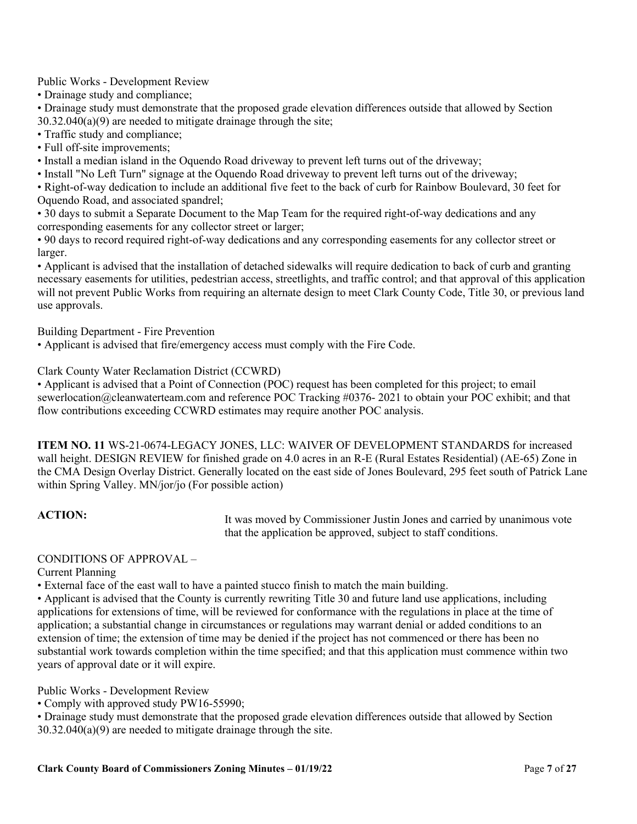# Public Works - Development Review

• Drainage study and compliance;

• Drainage study must demonstrate that the proposed grade elevation differences outside that allowed by Section 30.32.040(a)(9) are needed to mitigate drainage through the site;

• Traffic study and compliance;

• Full off-site improvements;

• Install a median island in the Oquendo Road driveway to prevent left turns out of the driveway;

• Install "No Left Turn" signage at the Oquendo Road driveway to prevent left turns out of the driveway;

• Right-of-way dedication to include an additional five feet to the back of curb for Rainbow Boulevard, 30 feet for Oquendo Road, and associated spandrel;

• 30 days to submit a Separate Document to the Map Team for the required right-of-way dedications and any corresponding easements for any collector street or larger;

• 90 days to record required right-of-way dedications and any corresponding easements for any collector street or larger.

• Applicant is advised that the installation of detached sidewalks will require dedication to back of curb and granting necessary easements for utilities, pedestrian access, streetlights, and traffic control; and that approval of this application will not prevent Public Works from requiring an alternate design to meet Clark County Code, Title 30, or previous land use approvals.

Building Department - Fire Prevention

• Applicant is advised that fire/emergency access must comply with the Fire Code.

Clark County Water Reclamation District (CCWRD)

• Applicant is advised that a Point of Connection (POC) request has been completed for this project; to email sewerlocation@cleanwaterteam.com and reference POC Tracking #0376- 2021 to obtain your POC exhibit; and that flow contributions exceeding CCWRD estimates may require another POC analysis.

**ITEM NO. 11** WS-21-0674-LEGACY JONES, LLC: WAIVER OF DEVELOPMENT STANDARDS for increased wall height. DESIGN REVIEW for finished grade on 4.0 acres in an R-E (Rural Estates Residential) (AE-65) Zone in the CMA Design Overlay District. Generally located on the east side of Jones Boulevard, 295 feet south of Patrick Lane within Spring Valley. MN/jor/jo (For possible action)

ACTION: It was moved by Commissioner Justin Jones and carried by unanimous vote that the application be approved, subject to staff conditions.

# CONDITIONS OF APPROVAL –

Current Planning

• External face of the east wall to have a painted stucco finish to match the main building.

• Applicant is advised that the County is currently rewriting Title 30 and future land use applications, including applications for extensions of time, will be reviewed for conformance with the regulations in place at the time of application; a substantial change in circumstances or regulations may warrant denial or added conditions to an extension of time; the extension of time may be denied if the project has not commenced or there has been no substantial work towards completion within the time specified; and that this application must commence within two years of approval date or it will expire.

Public Works - Development Review

• Comply with approved study PW16-55990;

• Drainage study must demonstrate that the proposed grade elevation differences outside that allowed by Section 30.32.040(a)(9) are needed to mitigate drainage through the site.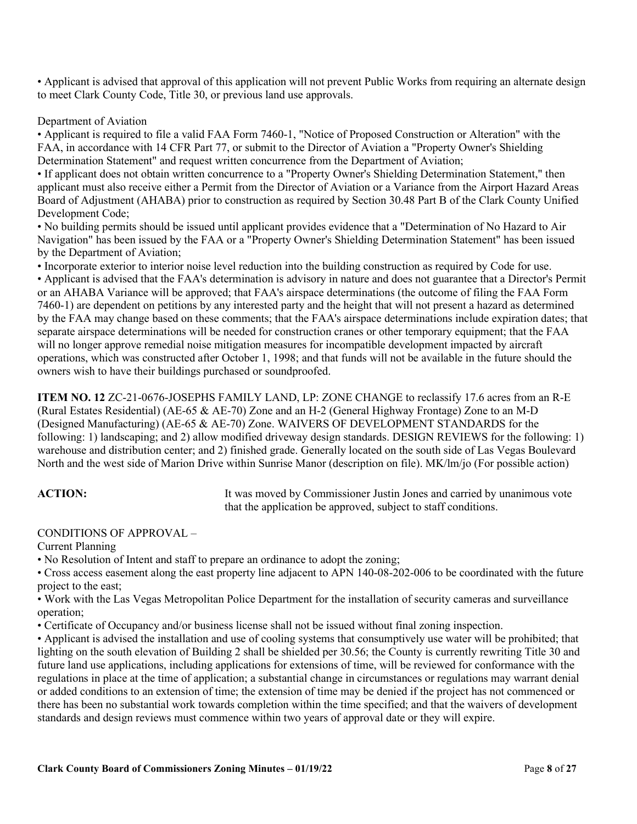• Applicant is advised that approval of this application will not prevent Public Works from requiring an alternate design to meet Clark County Code, Title 30, or previous land use approvals.

### Department of Aviation

• Applicant is required to file a valid FAA Form 7460-1, "Notice of Proposed Construction or Alteration" with the FAA, in accordance with 14 CFR Part 77, or submit to the Director of Aviation a "Property Owner's Shielding Determination Statement" and request written concurrence from the Department of Aviation;

• If applicant does not obtain written concurrence to a "Property Owner's Shielding Determination Statement," then applicant must also receive either a Permit from the Director of Aviation or a Variance from the Airport Hazard Areas Board of Adjustment (AHABA) prior to construction as required by Section 30.48 Part B of the Clark County Unified Development Code;

• No building permits should be issued until applicant provides evidence that a "Determination of No Hazard to Air Navigation" has been issued by the FAA or a "Property Owner's Shielding Determination Statement" has been issued by the Department of Aviation;

• Incorporate exterior to interior noise level reduction into the building construction as required by Code for use. • Applicant is advised that the FAA's determination is advisory in nature and does not guarantee that a Director's Permit or an AHABA Variance will be approved; that FAA's airspace determinations (the outcome of filing the FAA Form 7460-1) are dependent on petitions by any interested party and the height that will not present a hazard as determined by the FAA may change based on these comments; that the FAA's airspace determinations include expiration dates; that separate airspace determinations will be needed for construction cranes or other temporary equipment; that the FAA will no longer approve remedial noise mitigation measures for incompatible development impacted by aircraft operations, which was constructed after October 1, 1998; and that funds will not be available in the future should the owners wish to have their buildings purchased or soundproofed.

**ITEM NO. 12** ZC-21-0676-JOSEPHS FAMILY LAND, LP: ZONE CHANGE to reclassify 17.6 acres from an R-E (Rural Estates Residential) (AE-65 & AE-70) Zone and an H-2 (General Highway Frontage) Zone to an M-D (Designed Manufacturing) (AE-65 & AE-70) Zone. WAIVERS OF DEVELOPMENT STANDARDS for the following: 1) landscaping; and 2) allow modified driveway design standards. DESIGN REVIEWS for the following: 1) warehouse and distribution center; and 2) finished grade. Generally located on the south side of Las Vegas Boulevard North and the west side of Marion Drive within Sunrise Manor (description on file). MK/lm/jo (For possible action)

**ACTION:** It was moved by Commissioner Justin Jones and carried by unanimous vote that the application be approved, subject to staff conditions.

# CONDITIONS OF APPROVAL –

Current Planning

• No Resolution of Intent and staff to prepare an ordinance to adopt the zoning;

• Cross access easement along the east property line adjacent to APN 140-08-202-006 to be coordinated with the future project to the east;

• Work with the Las Vegas Metropolitan Police Department for the installation of security cameras and surveillance operation;

• Certificate of Occupancy and/or business license shall not be issued without final zoning inspection.

• Applicant is advised the installation and use of cooling systems that consumptively use water will be prohibited; that lighting on the south elevation of Building 2 shall be shielded per 30.56; the County is currently rewriting Title 30 and future land use applications, including applications for extensions of time, will be reviewed for conformance with the regulations in place at the time of application; a substantial change in circumstances or regulations may warrant denial or added conditions to an extension of time; the extension of time may be denied if the project has not commenced or there has been no substantial work towards completion within the time specified; and that the waivers of development standards and design reviews must commence within two years of approval date or they will expire.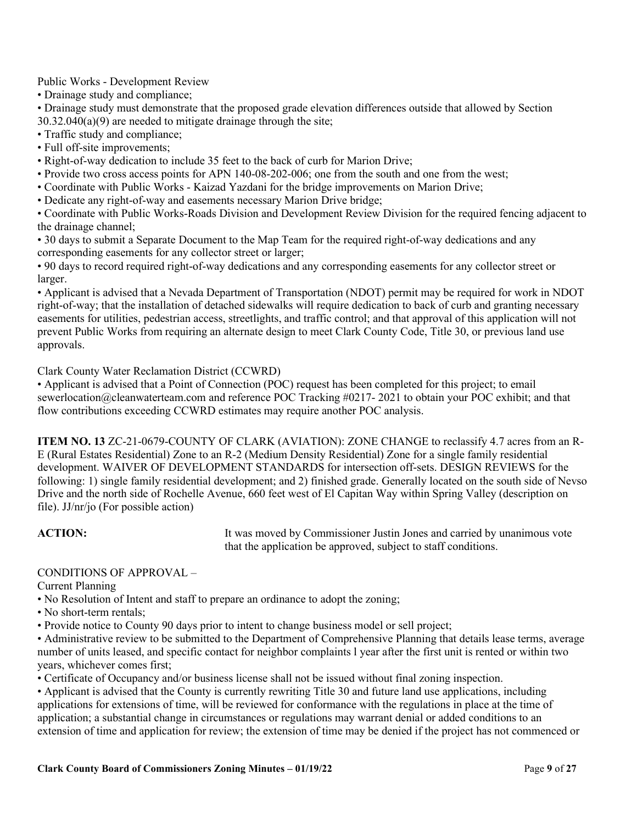# Public Works - Development Review

• Drainage study and compliance;

• Drainage study must demonstrate that the proposed grade elevation differences outside that allowed by Section 30.32.040(a)(9) are needed to mitigate drainage through the site;

• Traffic study and compliance;

• Full off-site improvements;

• Right-of-way dedication to include 35 feet to the back of curb for Marion Drive;

• Provide two cross access points for APN 140-08-202-006; one from the south and one from the west;

• Coordinate with Public Works - Kaizad Yazdani for the bridge improvements on Marion Drive;

• Dedicate any right-of-way and easements necessary Marion Drive bridge;

• Coordinate with Public Works-Roads Division and Development Review Division for the required fencing adjacent to the drainage channel;

• 30 days to submit a Separate Document to the Map Team for the required right-of-way dedications and any corresponding easements for any collector street or larger;

• 90 days to record required right-of-way dedications and any corresponding easements for any collector street or larger.

• Applicant is advised that a Nevada Department of Transportation (NDOT) permit may be required for work in NDOT right-of-way; that the installation of detached sidewalks will require dedication to back of curb and granting necessary easements for utilities, pedestrian access, streetlights, and traffic control; and that approval of this application will not prevent Public Works from requiring an alternate design to meet Clark County Code, Title 30, or previous land use approvals.

Clark County Water Reclamation District (CCWRD)

• Applicant is advised that a Point of Connection (POC) request has been completed for this project; to email sewerlocation@cleanwaterteam.com and reference POC Tracking #0217- 2021 to obtain your POC exhibit; and that flow contributions exceeding CCWRD estimates may require another POC analysis.

**ITEM NO. 13** ZC-21-0679-COUNTY OF CLARK (AVIATION): ZONE CHANGE to reclassify 4.7 acres from an R-E (Rural Estates Residential) Zone to an R-2 (Medium Density Residential) Zone for a single family residential development. WAIVER OF DEVELOPMENT STANDARDS for intersection off-sets. DESIGN REVIEWS for the following: 1) single family residential development; and 2) finished grade. Generally located on the south side of Nevso Drive and the north side of Rochelle Avenue, 660 feet west of El Capitan Way within Spring Valley (description on file). JJ/nr/jo (For possible action)

**ACTION:** It was moved by Commissioner Justin Jones and carried by unanimous vote that the application be approved, subject to staff conditions.

# CONDITIONS OF APPROVAL –

Current Planning

- No Resolution of Intent and staff to prepare an ordinance to adopt the zoning;
- No short-term rentals;

• Provide notice to County 90 days prior to intent to change business model or sell project;

• Administrative review to be submitted to the Department of Comprehensive Planning that details lease terms, average number of units leased, and specific contact for neighbor complaints l year after the first unit is rented or within two years, whichever comes first;

• Certificate of Occupancy and/or business license shall not be issued without final zoning inspection.

• Applicant is advised that the County is currently rewriting Title 30 and future land use applications, including applications for extensions of time, will be reviewed for conformance with the regulations in place at the time of application; a substantial change in circumstances or regulations may warrant denial or added conditions to an extension of time and application for review; the extension of time may be denied if the project has not commenced or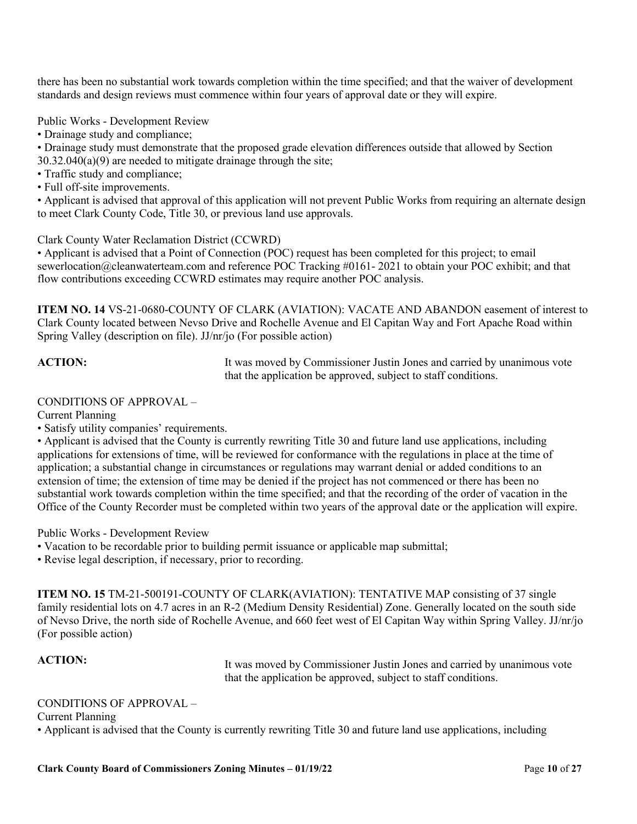there has been no substantial work towards completion within the time specified; and that the waiver of development standards and design reviews must commence within four years of approval date or they will expire.

Public Works - Development Review

- Drainage study and compliance;
- Drainage study must demonstrate that the proposed grade elevation differences outside that allowed by Section 30.32.040(a)(9) are needed to mitigate drainage through the site;
- Traffic study and compliance;
- Full off-site improvements.

• Applicant is advised that approval of this application will not prevent Public Works from requiring an alternate design to meet Clark County Code, Title 30, or previous land use approvals.

Clark County Water Reclamation District (CCWRD)

• Applicant is advised that a Point of Connection (POC) request has been completed for this project; to email sewerlocation@cleanwaterteam.com and reference POC Tracking #0161- 2021 to obtain your POC exhibit; and that flow contributions exceeding CCWRD estimates may require another POC analysis.

**ITEM NO. 14** VS-21-0680-COUNTY OF CLARK (AVIATION): VACATE AND ABANDON easement of interest to Clark County located between Nevso Drive and Rochelle Avenue and El Capitan Way and Fort Apache Road within Spring Valley (description on file). JJ/nr/jo (For possible action)

**ACTION:** It was moved by Commissioner Justin Jones and carried by unanimous vote that the application be approved, subject to staff conditions.

### CONDITIONS OF APPROVAL –

Current Planning

• Satisfy utility companies' requirements.

• Applicant is advised that the County is currently rewriting Title 30 and future land use applications, including applications for extensions of time, will be reviewed for conformance with the regulations in place at the time of application; a substantial change in circumstances or regulations may warrant denial or added conditions to an extension of time; the extension of time may be denied if the project has not commenced or there has been no substantial work towards completion within the time specified; and that the recording of the order of vacation in the Office of the County Recorder must be completed within two years of the approval date or the application will expire.

Public Works - Development Review

• Vacation to be recordable prior to building permit issuance or applicable map submittal;

• Revise legal description, if necessary, prior to recording.

**ITEM NO. 15** TM-21-500191-COUNTY OF CLARK(AVIATION): TENTATIVE MAP consisting of 37 single family residential lots on 4.7 acres in an R-2 (Medium Density Residential) Zone. Generally located on the south side of Nevso Drive, the north side of Rochelle Avenue, and 660 feet west of El Capitan Way within Spring Valley. JJ/nr/jo (For possible action)

ACTION: It was moved by Commissioner Justin Jones and carried by unanimous vote that the application be approved, subject to staff conditions.

# CONDITIONS OF APPROVAL –

Current Planning

• Applicant is advised that the County is currently rewriting Title 30 and future land use applications, including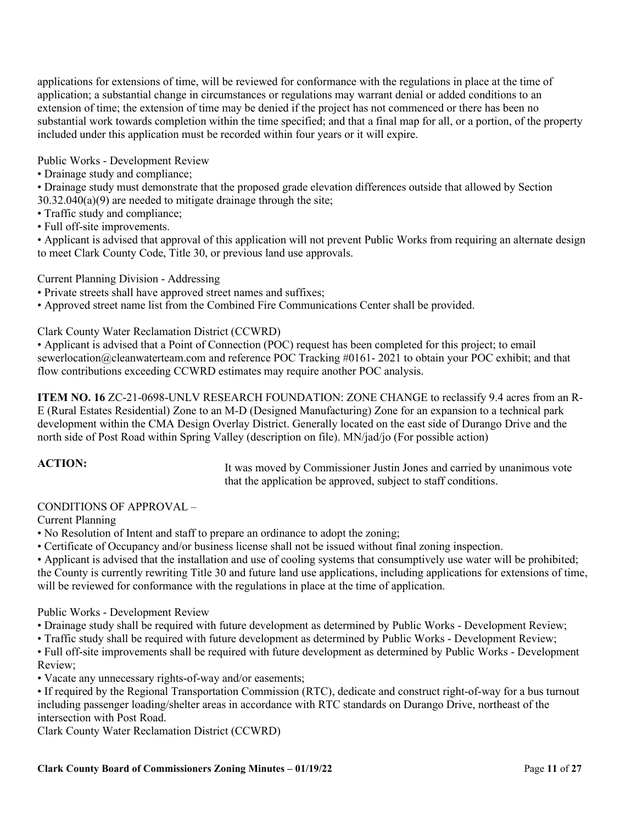applications for extensions of time, will be reviewed for conformance with the regulations in place at the time of application; a substantial change in circumstances or regulations may warrant denial or added conditions to an extension of time; the extension of time may be denied if the project has not commenced or there has been no substantial work towards completion within the time specified; and that a final map for all, or a portion, of the property included under this application must be recorded within four years or it will expire.

Public Works - Development Review

• Drainage study and compliance;

• Drainage study must demonstrate that the proposed grade elevation differences outside that allowed by Section 30.32.040(a)(9) are needed to mitigate drainage through the site;

- Traffic study and compliance;
- Full off-site improvements.

• Applicant is advised that approval of this application will not prevent Public Works from requiring an alternate design to meet Clark County Code, Title 30, or previous land use approvals.

Current Planning Division - Addressing

- Private streets shall have approved street names and suffixes;
- Approved street name list from the Combined Fire Communications Center shall be provided.

Clark County Water Reclamation District (CCWRD)

• Applicant is advised that a Point of Connection (POC) request has been completed for this project; to email sewerlocation@cleanwaterteam.com and reference POC Tracking #0161- 2021 to obtain your POC exhibit; and that flow contributions exceeding CCWRD estimates may require another POC analysis.

**ITEM NO. 16** ZC-21-0698-UNLV RESEARCH FOUNDATION: ZONE CHANGE to reclassify 9.4 acres from an R-E (Rural Estates Residential) Zone to an M-D (Designed Manufacturing) Zone for an expansion to a technical park development within the CMA Design Overlay District. Generally located on the east side of Durango Drive and the north side of Post Road within Spring Valley (description on file). MN/jad/jo (For possible action)

ACTION: It was moved by Commissioner Justin Jones and carried by unanimous vote that the application be approved, subject to staff conditions.

# CONDITIONS OF APPROVAL –

Current Planning

- No Resolution of Intent and staff to prepare an ordinance to adopt the zoning;
- Certificate of Occupancy and/or business license shall not be issued without final zoning inspection.
- Applicant is advised that the installation and use of cooling systems that consumptively use water will be prohibited; the County is currently rewriting Title 30 and future land use applications, including applications for extensions of time, will be reviewed for conformance with the regulations in place at the time of application.

Public Works - Development Review

- Drainage study shall be required with future development as determined by Public Works Development Review;
- Traffic study shall be required with future development as determined by Public Works Development Review;

• Full off-site improvements shall be required with future development as determined by Public Works - Development Review;

• Vacate any unnecessary rights-of-way and/or easements;

• If required by the Regional Transportation Commission (RTC), dedicate and construct right-of-way for a bus turnout including passenger loading/shelter areas in accordance with RTC standards on Durango Drive, northeast of the intersection with Post Road.

Clark County Water Reclamation District (CCWRD)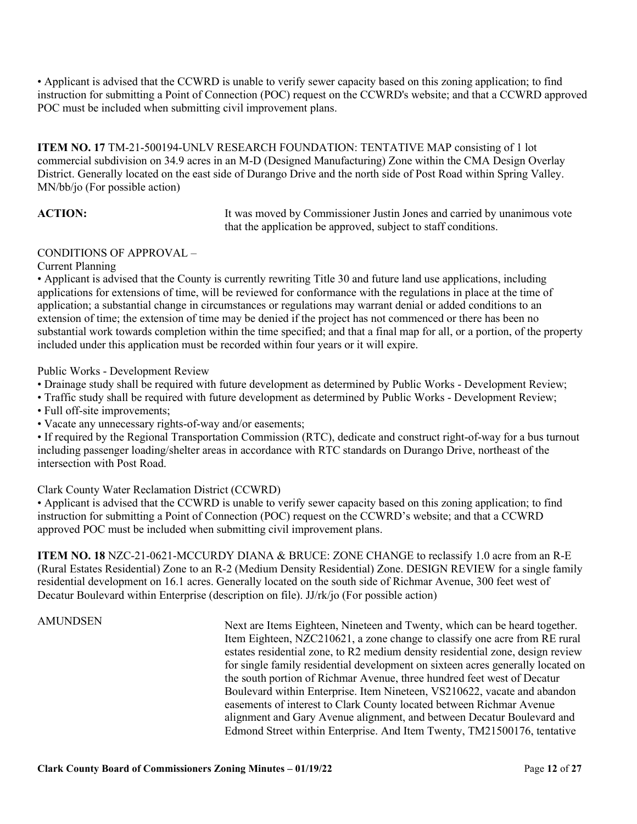• Applicant is advised that the CCWRD is unable to verify sewer capacity based on this zoning application; to find instruction for submitting a Point of Connection (POC) request on the CCWRD's website; and that a CCWRD approved POC must be included when submitting civil improvement plans.

**ITEM NO. 17** TM-21-500194-UNLV RESEARCH FOUNDATION: TENTATIVE MAP consisting of 1 lot commercial subdivision on 34.9 acres in an M-D (Designed Manufacturing) Zone within the CMA Design Overlay District. Generally located on the east side of Durango Drive and the north side of Post Road within Spring Valley. MN/bb/jo (For possible action)

**ACTION:** It was moved by Commissioner Justin Jones and carried by unanimous vote that the application be approved, subject to staff conditions.

### CONDITIONS OF APPROVAL –

Current Planning

• Applicant is advised that the County is currently rewriting Title 30 and future land use applications, including applications for extensions of time, will be reviewed for conformance with the regulations in place at the time of application; a substantial change in circumstances or regulations may warrant denial or added conditions to an extension of time; the extension of time may be denied if the project has not commenced or there has been no substantial work towards completion within the time specified; and that a final map for all, or a portion, of the property included under this application must be recorded within four years or it will expire.

Public Works - Development Review

- Drainage study shall be required with future development as determined by Public Works Development Review;
- Traffic study shall be required with future development as determined by Public Works Development Review;
- Full off-site improvements;
- Vacate any unnecessary rights-of-way and/or easements;

• If required by the Regional Transportation Commission (RTC), dedicate and construct right-of-way for a bus turnout including passenger loading/shelter areas in accordance with RTC standards on Durango Drive, northeast of the intersection with Post Road.

Clark County Water Reclamation District (CCWRD)

• Applicant is advised that the CCWRD is unable to verify sewer capacity based on this zoning application; to find instruction for submitting a Point of Connection (POC) request on the CCWRD's website; and that a CCWRD approved POC must be included when submitting civil improvement plans.

**ITEM NO. 18** NZC-21-0621-MCCURDY DIANA & BRUCE: ZONE CHANGE to reclassify 1.0 acre from an R-E (Rural Estates Residential) Zone to an R-2 (Medium Density Residential) Zone. DESIGN REVIEW for a single family residential development on 16.1 acres. Generally located on the south side of Richmar Avenue, 300 feet west of Decatur Boulevard within Enterprise (description on file). JJ/rk/jo (For possible action)

AMUNDSEN Next are Items Eighteen, Nineteen and Twenty, which can be heard together. Item Eighteen, NZC210621, a zone change to classify one acre from RE rural estates residential zone, to R2 medium density residential zone, design review for single family residential development on sixteen acres generally located on the south portion of Richmar Avenue, three hundred feet west of Decatur Boulevard within Enterprise. Item Nineteen, VS210622, vacate and abandon easements of interest to Clark County located between Richmar Avenue alignment and Gary Avenue alignment, and between Decatur Boulevard and Edmond Street within Enterprise. And Item Twenty, TM21500176, tentative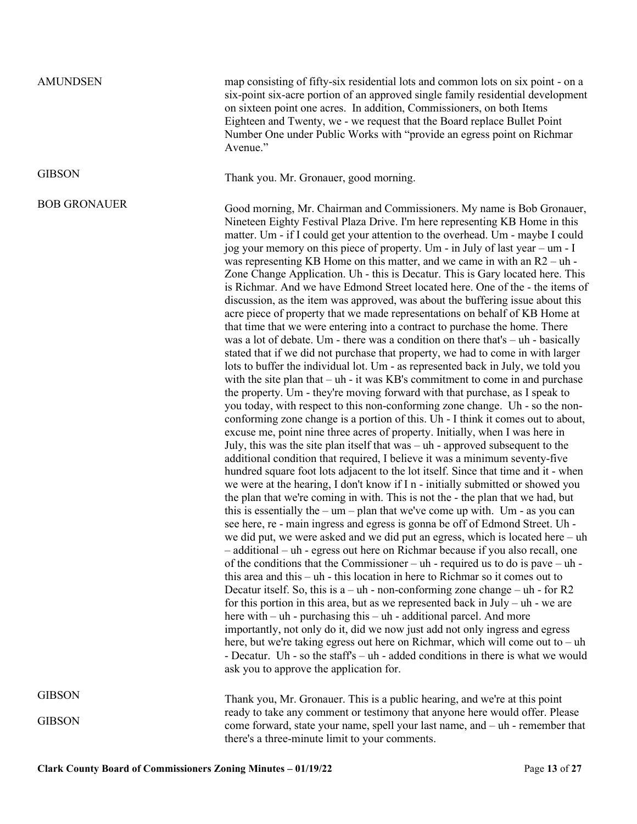AMUNDSEN map consisting of fifty-six residential lots and common lots on six point - on a six-point six-acre portion of an approved single family residential development on sixteen point one acres. In addition, Commissioners, on both Items Eighteen and Twenty, we - we request that the Board replace Bullet Point Number One under Public Works with "provide an egress point on Richmar Avenue."

GIBSON Thank you. Mr. Gronauer, good morning.

BOB GRONAUER Good morning, Mr. Chairman and Commissioners. My name is Bob Gronauer, Nineteen Eighty Festival Plaza Drive. I'm here representing KB Home in this matter. Um - if I could get your attention to the overhead. Um - maybe I could jog your memory on this piece of property. Um - in July of last year – um - I was representing KB Home on this matter, and we came in with an R2 – uh - Zone Change Application. Uh - this is Decatur. This is Gary located here. This is Richmar. And we have Edmond Street located here. One of the - the items of discussion, as the item was approved, was about the buffering issue about this acre piece of property that we made representations on behalf of KB Home at that time that we were entering into a contract to purchase the home. There was a lot of debate. Um - there was a condition on there that's – uh - basically stated that if we did not purchase that property, we had to come in with larger lots to buffer the individual lot. Um - as represented back in July, we told you with the site plan that – uh - it was KB's commitment to come in and purchase the property. Um - they're moving forward with that purchase, as I speak to you today, with respect to this non-conforming zone change. Uh - so the nonconforming zone change is a portion of this. Uh - I think it comes out to about, excuse me, point nine three acres of property. Initially, when I was here in July, this was the site plan itself that was – uh - approved subsequent to the additional condition that required, I believe it was a minimum seventy-five hundred square foot lots adjacent to the lot itself. Since that time and it - when we were at the hearing, I don't know if I n - initially submitted or showed you the plan that we're coming in with. This is not the - the plan that we had, but this is essentially the –  $um$  – plan that we've come up with. Um - as you can see here, re - main ingress and egress is gonna be off of Edmond Street. Uh we did put, we were asked and we did put an egress, which is located here – uh – additional – uh - egress out here on Richmar because if you also recall, one of the conditions that the Commissioner – uh - required us to do is pave – uh this area and this – uh - this location in here to Richmar so it comes out to Decatur itself. So, this is  $a - uh$  - non-conforming zone change – uh - for R2 for this portion in this area, but as we represented back in  $July - uh - we$  are here with – uh - purchasing this – uh - additional parcel. And more importantly, not only do it, did we now just add not only ingress and egress here, but we're taking egress out here on Richmar, which will come out to – uh - Decatur. Uh - so the staff's – uh - added conditions in there is what we would ask you to approve the application for.

**GIBSON** 

**GIBSON** 

Thank you, Mr. Gronauer. This is a public hearing, and we're at this point ready to take any comment or testimony that anyone here would offer. Please come forward, state your name, spell your last name, and – uh - remember that there's a three-minute limit to your comments.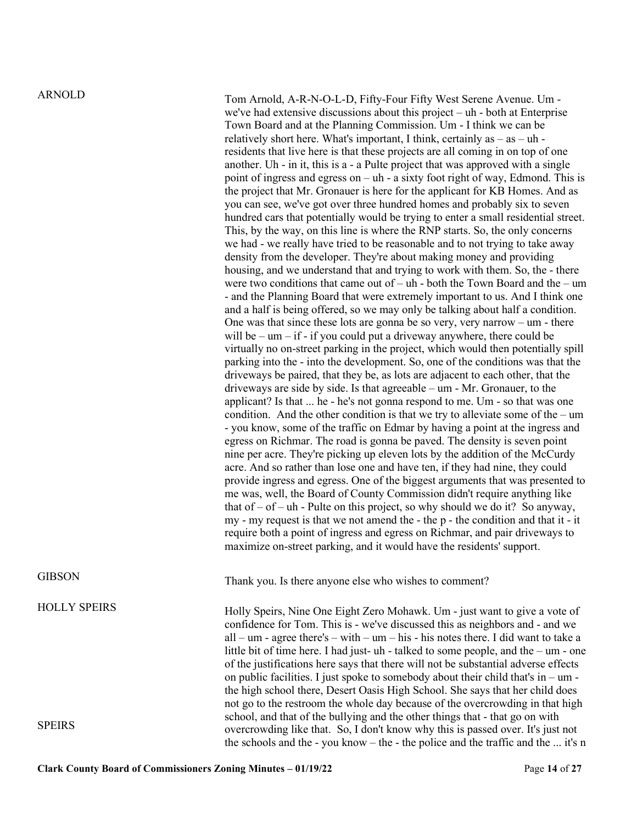HOLLY SPEIRS

SPEIRS

ARNOLD Tom Arnold, A-R-N-O-L-D, Fifty-Four Fifty West Serene Avenue. Um we've had extensive discussions about this project – uh - both at Enterprise Town Board and at the Planning Commission. Um - I think we can be relatively short here. What's important, I think, certainly as  $-$  as  $-$  uh residents that live here is that these projects are all coming in on top of one another. Uh - in it, this is a - a Pulte project that was approved with a single point of ingress and egress on – uh - a sixty foot right of way, Edmond. This is the project that Mr. Gronauer is here for the applicant for KB Homes. And as you can see, we've got over three hundred homes and probably six to seven hundred cars that potentially would be trying to enter a small residential street. This, by the way, on this line is where the RNP starts. So, the only concerns we had - we really have tried to be reasonable and to not trying to take away density from the developer. They're about making money and providing housing, and we understand that and trying to work with them. So, the - there were two conditions that came out of – uh - both the Town Board and the – um - and the Planning Board that were extremely important to us. And I think one and a half is being offered, so we may only be talking about half a condition. One was that since these lots are gonna be so very, very narrow –  $um$  - there will be –  $um - if - if$  you could put a driveway anywhere, there could be virtually no on-street parking in the project, which would then potentially spill parking into the - into the development. So, one of the conditions was that the driveways be paired, that they be, as lots are adjacent to each other, that the driveways are side by side. Is that agreeable – um - Mr. Gronauer, to the applicant? Is that ... he - he's not gonna respond to me. Um - so that was one condition. And the other condition is that we try to alleviate some of the – um - you know, some of the traffic on Edmar by having a point at the ingress and egress on Richmar. The road is gonna be paved. The density is seven point nine per acre. They're picking up eleven lots by the addition of the McCurdy acre. And so rather than lose one and have ten, if they had nine, they could provide ingress and egress. One of the biggest arguments that was presented to me was, well, the Board of County Commission didn't require anything like that of  $-$  of  $-$  uh - Pulte on this project, so why should we do it? So anyway, my - my request is that we not amend the - the p - the condition and that it - it require both a point of ingress and egress on Richmar, and pair driveways to maximize on-street parking, and it would have the residents' support.

GIBSON Thank you. Is there anyone else who wishes to comment?

Holly Speirs, Nine One Eight Zero Mohawk. Um - just want to give a vote of confidence for Tom. This is - we've discussed this as neighbors and - and we  $all - um - agree there's - with - um - his - his notes there. I did want to take a$ little bit of time here. I had just- uh - talked to some people, and the – um - one of the justifications here says that there will not be substantial adverse effects on public facilities. I just spoke to somebody about their child that's in – um the high school there, Desert Oasis High School. She says that her child does not go to the restroom the whole day because of the overcrowding in that high school, and that of the bullying and the other things that - that go on with overcrowding like that. So, I don't know why this is passed over. It's just not the schools and the - you know – the - the police and the traffic and the ... it's n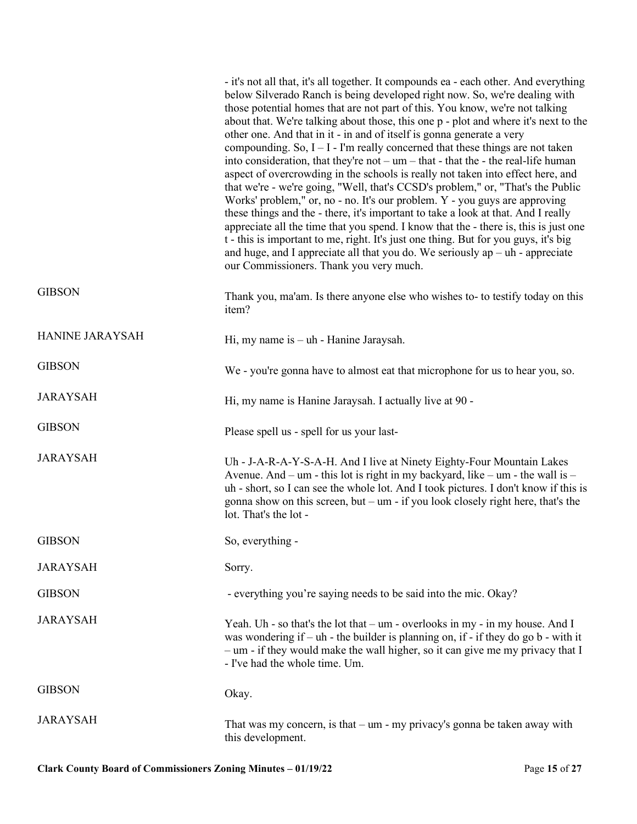|                 | - it's not all that, it's all together. It compounds ea - each other. And everything<br>below Silverado Ranch is being developed right now. So, we're dealing with<br>those potential homes that are not part of this. You know, we're not talking<br>about that. We're talking about those, this one p - plot and where it's next to the<br>other one. And that in it - in and of itself is gonna generate a very<br>compounding. So, $I - I$ - I'm really concerned that these things are not taken<br>into consideration, that they're $not - um - that - that$ that the - the real-life human<br>aspect of overcrowding in the schools is really not taken into effect here, and<br>that we're - we're going, "Well, that's CCSD's problem," or, "That's the Public<br>Works' problem," or, no - no. It's our problem. Y - you guys are approving<br>these things and the - there, it's important to take a look at that. And I really<br>appreciate all the time that you spend. I know that the - there is, this is just one<br>t - this is important to me, right. It's just one thing. But for you guys, it's big<br>and huge, and I appreciate all that you do. We seriously $ap - uh$ - appreciate<br>our Commissioners. Thank you very much. |
|-----------------|---------------------------------------------------------------------------------------------------------------------------------------------------------------------------------------------------------------------------------------------------------------------------------------------------------------------------------------------------------------------------------------------------------------------------------------------------------------------------------------------------------------------------------------------------------------------------------------------------------------------------------------------------------------------------------------------------------------------------------------------------------------------------------------------------------------------------------------------------------------------------------------------------------------------------------------------------------------------------------------------------------------------------------------------------------------------------------------------------------------------------------------------------------------------------------------------------------------------------------------------------------|
| <b>GIBSON</b>   | Thank you, ma'am. Is there anyone else who wishes to- to testify today on this<br>item?                                                                                                                                                                                                                                                                                                                                                                                                                                                                                                                                                                                                                                                                                                                                                                                                                                                                                                                                                                                                                                                                                                                                                                 |
| HANINE JARAYSAH | Hi, my name is $-\uh$ - Hanine Jaraysah.                                                                                                                                                                                                                                                                                                                                                                                                                                                                                                                                                                                                                                                                                                                                                                                                                                                                                                                                                                                                                                                                                                                                                                                                                |
| <b>GIBSON</b>   | We - you're gonna have to almost eat that microphone for us to hear you, so.                                                                                                                                                                                                                                                                                                                                                                                                                                                                                                                                                                                                                                                                                                                                                                                                                                                                                                                                                                                                                                                                                                                                                                            |
| <b>JARAYSAH</b> | Hi, my name is Hanine Jaraysah. I actually live at 90 -                                                                                                                                                                                                                                                                                                                                                                                                                                                                                                                                                                                                                                                                                                                                                                                                                                                                                                                                                                                                                                                                                                                                                                                                 |
| <b>GIBSON</b>   | Please spell us - spell for us your last-                                                                                                                                                                                                                                                                                                                                                                                                                                                                                                                                                                                                                                                                                                                                                                                                                                                                                                                                                                                                                                                                                                                                                                                                               |
| <b>JARAYSAH</b> | Uh - J-A-R-A-Y-S-A-H. And I live at Ninety Eighty-Four Mountain Lakes<br>Avenue. And – um - this lot is right in my backyard, like – um - the wall is –<br>uh - short, so I can see the whole lot. And I took pictures. I don't know if this is<br>gonna show on this screen, but - um - if you look closely right here, that's the<br>lot. That's the lot -                                                                                                                                                                                                                                                                                                                                                                                                                                                                                                                                                                                                                                                                                                                                                                                                                                                                                            |
| <b>GIBSON</b>   | So, everything -                                                                                                                                                                                                                                                                                                                                                                                                                                                                                                                                                                                                                                                                                                                                                                                                                                                                                                                                                                                                                                                                                                                                                                                                                                        |
| <b>JARAYSAH</b> | Sorry.                                                                                                                                                                                                                                                                                                                                                                                                                                                                                                                                                                                                                                                                                                                                                                                                                                                                                                                                                                                                                                                                                                                                                                                                                                                  |
| <b>GIBSON</b>   | - everything you're saying needs to be said into the mic. Okay?                                                                                                                                                                                                                                                                                                                                                                                                                                                                                                                                                                                                                                                                                                                                                                                                                                                                                                                                                                                                                                                                                                                                                                                         |
| <b>JARAYSAH</b> | Yeah. Uh - so that's the lot that $-$ um - overlooks in my - in my house. And I<br>was wondering if $-$ uh - the builder is planning on, if - if they do go b - with it<br>- um - if they would make the wall higher, so it can give me my privacy that I<br>- I've had the whole time. Um.                                                                                                                                                                                                                                                                                                                                                                                                                                                                                                                                                                                                                                                                                                                                                                                                                                                                                                                                                             |
| <b>GIBSON</b>   | Okay.                                                                                                                                                                                                                                                                                                                                                                                                                                                                                                                                                                                                                                                                                                                                                                                                                                                                                                                                                                                                                                                                                                                                                                                                                                                   |
| <b>JARAYSAH</b> | That was my concern, is that $-$ um - my privacy's gonna be taken away with<br>this development.                                                                                                                                                                                                                                                                                                                                                                                                                                                                                                                                                                                                                                                                                                                                                                                                                                                                                                                                                                                                                                                                                                                                                        |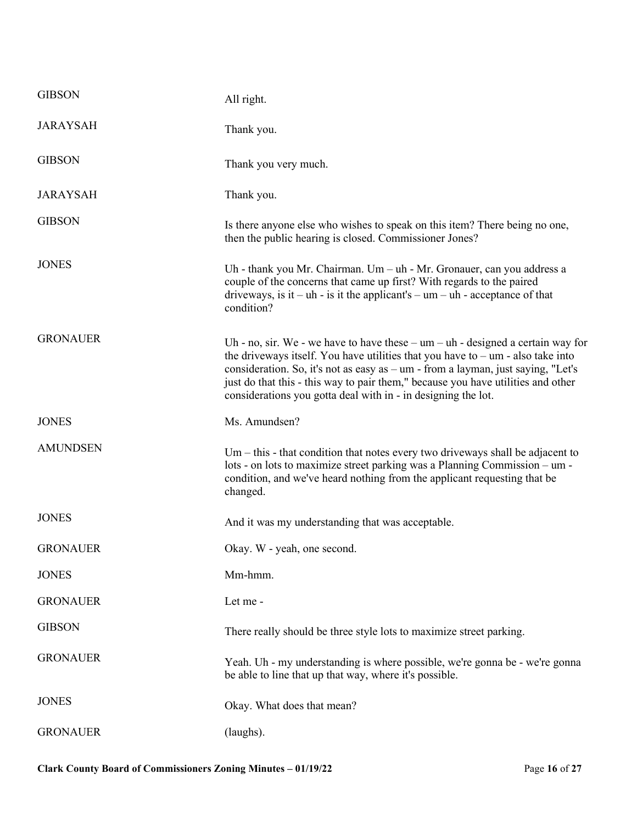| <b>GIBSON</b>   | All right.                                                                                                                                                                                                                                                                                                                                                                                                        |
|-----------------|-------------------------------------------------------------------------------------------------------------------------------------------------------------------------------------------------------------------------------------------------------------------------------------------------------------------------------------------------------------------------------------------------------------------|
| <b>JARAYSAH</b> | Thank you.                                                                                                                                                                                                                                                                                                                                                                                                        |
| <b>GIBSON</b>   | Thank you very much.                                                                                                                                                                                                                                                                                                                                                                                              |
| <b>JARAYSAH</b> | Thank you.                                                                                                                                                                                                                                                                                                                                                                                                        |
| <b>GIBSON</b>   | Is there anyone else who wishes to speak on this item? There being no one,<br>then the public hearing is closed. Commissioner Jones?                                                                                                                                                                                                                                                                              |
| <b>JONES</b>    | Uh - thank you Mr. Chairman. Um $-$ uh - Mr. Gronauer, can you address a<br>couple of the concerns that came up first? With regards to the paired<br>driveways, is it – uh - is it the applicant's – $um - uh$ - acceptance of that<br>condition?                                                                                                                                                                 |
| <b>GRONAUER</b> | Uh - no, sir. We - we have to have these $-$ um $-$ uh - designed a certain way for<br>the driveways itself. You have utilities that you have to $-$ um - also take into<br>consideration. So, it's not as easy as - um - from a layman, just saying, "Let's<br>just do that this - this way to pair them," because you have utilities and other<br>considerations you gotta deal with in - in designing the lot. |
| <b>JONES</b>    | Ms. Amundsen?                                                                                                                                                                                                                                                                                                                                                                                                     |
| <b>AMUNDSEN</b> | $Um - this - that condition that notes every two drivers shall be adjacent to$<br>lots - on lots to maximize street parking was a Planning Commission – um -<br>condition, and we've heard nothing from the applicant requesting that be<br>changed.                                                                                                                                                              |
| <b>JONES</b>    | And it was my understanding that was acceptable.                                                                                                                                                                                                                                                                                                                                                                  |
| <b>GRONAUER</b> | Okay. W - yeah, one second.                                                                                                                                                                                                                                                                                                                                                                                       |
| <b>JONES</b>    | Mm-hmm.                                                                                                                                                                                                                                                                                                                                                                                                           |
| <b>GRONAUER</b> | Let me -                                                                                                                                                                                                                                                                                                                                                                                                          |
| <b>GIBSON</b>   | There really should be three style lots to maximize street parking.                                                                                                                                                                                                                                                                                                                                               |
| <b>GRONAUER</b> | Yeah. Uh - my understanding is where possible, we're gonna be - we're gonna<br>be able to line that up that way, where it's possible.                                                                                                                                                                                                                                                                             |
|                 |                                                                                                                                                                                                                                                                                                                                                                                                                   |
| <b>JONES</b>    | Okay. What does that mean?                                                                                                                                                                                                                                                                                                                                                                                        |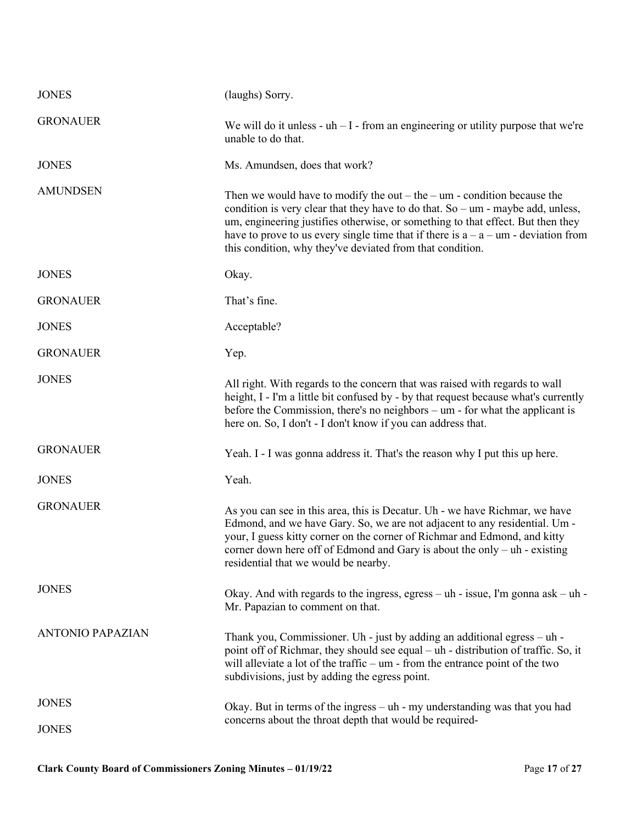| <b>JONES</b>            | (laughs) Sorry.                                                                                                                                                                                                                                                                                                                                                                                                 |
|-------------------------|-----------------------------------------------------------------------------------------------------------------------------------------------------------------------------------------------------------------------------------------------------------------------------------------------------------------------------------------------------------------------------------------------------------------|
| <b>GRONAUER</b>         | We will do it unless - $uh - I$ - from an engineering or utility purpose that we're<br>unable to do that.                                                                                                                                                                                                                                                                                                       |
| <b>JONES</b>            | Ms. Amundsen, does that work?                                                                                                                                                                                                                                                                                                                                                                                   |
| <b>AMUNDSEN</b>         | Then we would have to modify the out $-$ the $-$ um - condition because the<br>condition is very clear that they have to do that. So $-$ um - maybe add, unless,<br>um, engineering justifies otherwise, or something to that effect. But then they<br>have to prove to us every single time that if there is $a - a - \text{um}$ - deviation from<br>this condition, why they've deviated from that condition. |
| <b>JONES</b>            | Okay.                                                                                                                                                                                                                                                                                                                                                                                                           |
| <b>GRONAUER</b>         | That's fine.                                                                                                                                                                                                                                                                                                                                                                                                    |
| <b>JONES</b>            | Acceptable?                                                                                                                                                                                                                                                                                                                                                                                                     |
| <b>GRONAUER</b>         | Yep.                                                                                                                                                                                                                                                                                                                                                                                                            |
| <b>JONES</b>            | All right. With regards to the concern that was raised with regards to wall<br>height, I - I'm a little bit confused by - by that request because what's currently<br>before the Commission, there's no neighbors $-$ um - for what the applicant is<br>here on. So, I don't - I don't know if you can address that.                                                                                            |
| <b>GRONAUER</b>         | Yeah. I - I was gonna address it. That's the reason why I put this up here.                                                                                                                                                                                                                                                                                                                                     |
| <b>JONES</b>            | Yeah.                                                                                                                                                                                                                                                                                                                                                                                                           |
| <b>GRONAUER</b>         | As you can see in this area, this is Decatur. Uh - we have Richmar, we have<br>Edmond, and we have Gary. So, we are not adjacent to any residential. Um -<br>your, I guess kitty corner on the corner of Richmar and Edmond, and kitty<br>corner down here off of Edmond and Gary is about the only - uh - existing<br>residential that we would be nearby.                                                     |
| <b>JONES</b>            | Okay. And with regards to the ingress, egress $-$ uh - issue, I'm gonna ask $-$ uh -<br>Mr. Papazian to comment on that.                                                                                                                                                                                                                                                                                        |
| <b>ANTONIO PAPAZIAN</b> | Thank you, Commissioner. Uh - just by adding an additional egress $-\mathbf{uh}$ -<br>point off of Richmar, they should see equal – uh - distribution of traffic. So, it<br>will alleviate a lot of the traffic $-$ um - from the entrance point of the two<br>subdivisions, just by adding the egress point.                                                                                                   |
| <b>JONES</b>            | Okay. But in terms of the ingress $-\text{uh}$ - my understanding was that you had                                                                                                                                                                                                                                                                                                                              |
| <b>JONES</b>            | concerns about the throat depth that would be required-                                                                                                                                                                                                                                                                                                                                                         |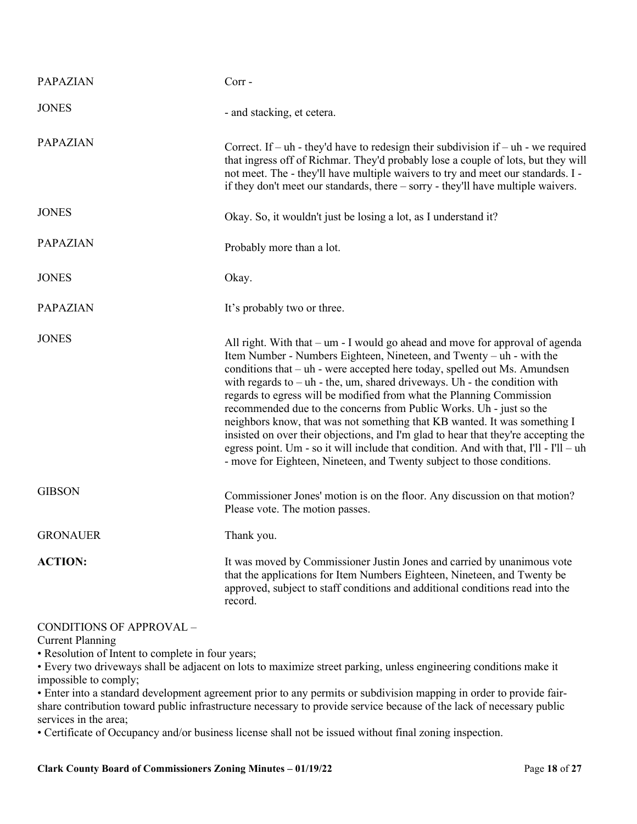| <b>PAPAZIAN</b> | $Corr -$                                                                                                                                                                                                                                                                                                                                                                                                                                                                                                                                                                                                                                                                                                                                                                                                |
|-----------------|---------------------------------------------------------------------------------------------------------------------------------------------------------------------------------------------------------------------------------------------------------------------------------------------------------------------------------------------------------------------------------------------------------------------------------------------------------------------------------------------------------------------------------------------------------------------------------------------------------------------------------------------------------------------------------------------------------------------------------------------------------------------------------------------------------|
| <b>JONES</b>    | - and stacking, et cetera.                                                                                                                                                                                                                                                                                                                                                                                                                                                                                                                                                                                                                                                                                                                                                                              |
| <b>PAPAZIAN</b> | Correct. If – uh - they'd have to redesign their subdivision if – uh - we required<br>that ingress off of Richmar. They'd probably lose a couple of lots, but they will<br>not meet. The - they'll have multiple waivers to try and meet our standards. I -<br>if they don't meet our standards, there – sorry - they'll have multiple waivers.                                                                                                                                                                                                                                                                                                                                                                                                                                                         |
| <b>JONES</b>    | Okay. So, it wouldn't just be losing a lot, as I understand it?                                                                                                                                                                                                                                                                                                                                                                                                                                                                                                                                                                                                                                                                                                                                         |
| <b>PAPAZIAN</b> | Probably more than a lot.                                                                                                                                                                                                                                                                                                                                                                                                                                                                                                                                                                                                                                                                                                                                                                               |
| <b>JONES</b>    | Okay.                                                                                                                                                                                                                                                                                                                                                                                                                                                                                                                                                                                                                                                                                                                                                                                                   |
| <b>PAPAZIAN</b> | It's probably two or three.                                                                                                                                                                                                                                                                                                                                                                                                                                                                                                                                                                                                                                                                                                                                                                             |
| <b>JONES</b>    | All right. With that $-$ um $-$ I would go ahead and move for approval of agenda<br>Item Number - Numbers Eighteen, Nineteen, and Twenty – uh - with the<br>conditions that – uh - were accepted here today, spelled out Ms. Amundsen<br>with regards to - uh - the, um, shared driveways. Uh - the condition with<br>regards to egress will be modified from what the Planning Commission<br>recommended due to the concerns from Public Works. Uh - just so the<br>neighbors know, that was not something that KB wanted. It was something I<br>insisted on over their objections, and I'm glad to hear that they're accepting the<br>egress point. Um - so it will include that condition. And with that, I'll - I'll - uh<br>- move for Eighteen, Nineteen, and Twenty subject to those conditions. |
| <b>GIBSON</b>   | Commissioner Jones' motion is on the floor. Any discussion on that motion?<br>Please vote. The motion passes.                                                                                                                                                                                                                                                                                                                                                                                                                                                                                                                                                                                                                                                                                           |
| <b>GRONAUER</b> | Thank you.                                                                                                                                                                                                                                                                                                                                                                                                                                                                                                                                                                                                                                                                                                                                                                                              |
| <b>ACTION:</b>  | It was moved by Commissioner Justin Jones and carried by unanimous vote<br>that the applications for Item Numbers Eighteen, Nineteen, and Twenty be<br>approved, subject to staff conditions and additional conditions read into the<br>record.                                                                                                                                                                                                                                                                                                                                                                                                                                                                                                                                                         |

# CONDITIONS OF APPROVAL –

Current Planning

• Resolution of Intent to complete in four years;

• Every two driveways shall be adjacent on lots to maximize street parking, unless engineering conditions make it impossible to comply;

• Enter into a standard development agreement prior to any permits or subdivision mapping in order to provide fairshare contribution toward public infrastructure necessary to provide service because of the lack of necessary public services in the area;

• Certificate of Occupancy and/or business license shall not be issued without final zoning inspection.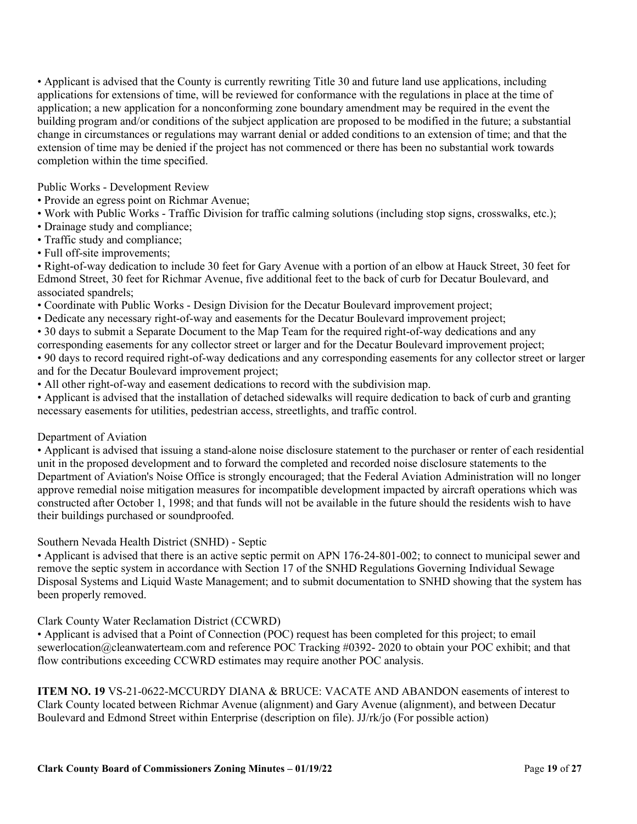• Applicant is advised that the County is currently rewriting Title 30 and future land use applications, including applications for extensions of time, will be reviewed for conformance with the regulations in place at the time of application; a new application for a nonconforming zone boundary amendment may be required in the event the building program and/or conditions of the subject application are proposed to be modified in the future; a substantial change in circumstances or regulations may warrant denial or added conditions to an extension of time; and that the extension of time may be denied if the project has not commenced or there has been no substantial work towards completion within the time specified.

Public Works - Development Review

- Provide an egress point on Richmar Avenue;
- Work with Public Works Traffic Division for traffic calming solutions (including stop signs, crosswalks, etc.);
- Drainage study and compliance;
- Traffic study and compliance;
- Full off-site improvements;

• Right-of-way dedication to include 30 feet for Gary Avenue with a portion of an elbow at Hauck Street, 30 feet for Edmond Street, 30 feet for Richmar Avenue, five additional feet to the back of curb for Decatur Boulevard, and associated spandrels;

- Coordinate with Public Works Design Division for the Decatur Boulevard improvement project;
- Dedicate any necessary right-of-way and easements for the Decatur Boulevard improvement project;
- 30 days to submit a Separate Document to the Map Team for the required right-of-way dedications and any
- corresponding easements for any collector street or larger and for the Decatur Boulevard improvement project;

• 90 days to record required right-of-way dedications and any corresponding easements for any collector street or larger and for the Decatur Boulevard improvement project;

• All other right-of-way and easement dedications to record with the subdivision map.

• Applicant is advised that the installation of detached sidewalks will require dedication to back of curb and granting necessary easements for utilities, pedestrian access, streetlights, and traffic control.

# Department of Aviation

• Applicant is advised that issuing a stand-alone noise disclosure statement to the purchaser or renter of each residential unit in the proposed development and to forward the completed and recorded noise disclosure statements to the Department of Aviation's Noise Office is strongly encouraged; that the Federal Aviation Administration will no longer approve remedial noise mitigation measures for incompatible development impacted by aircraft operations which was constructed after October 1, 1998; and that funds will not be available in the future should the residents wish to have their buildings purchased or soundproofed.

Southern Nevada Health District (SNHD) - Septic

• Applicant is advised that there is an active septic permit on APN 176-24-801-002; to connect to municipal sewer and remove the septic system in accordance with Section 17 of the SNHD Regulations Governing Individual Sewage Disposal Systems and Liquid Waste Management; and to submit documentation to SNHD showing that the system has been properly removed.

# Clark County Water Reclamation District (CCWRD)

• Applicant is advised that a Point of Connection (POC) request has been completed for this project; to email sewerlocation@cleanwaterteam.com and reference POC Tracking #0392- 2020 to obtain your POC exhibit; and that flow contributions exceeding CCWRD estimates may require another POC analysis.

**ITEM NO. 19** VS-21-0622-MCCURDY DIANA & BRUCE: VACATE AND ABANDON easements of interest to Clark County located between Richmar Avenue (alignment) and Gary Avenue (alignment), and between Decatur Boulevard and Edmond Street within Enterprise (description on file). JJ/rk/jo (For possible action)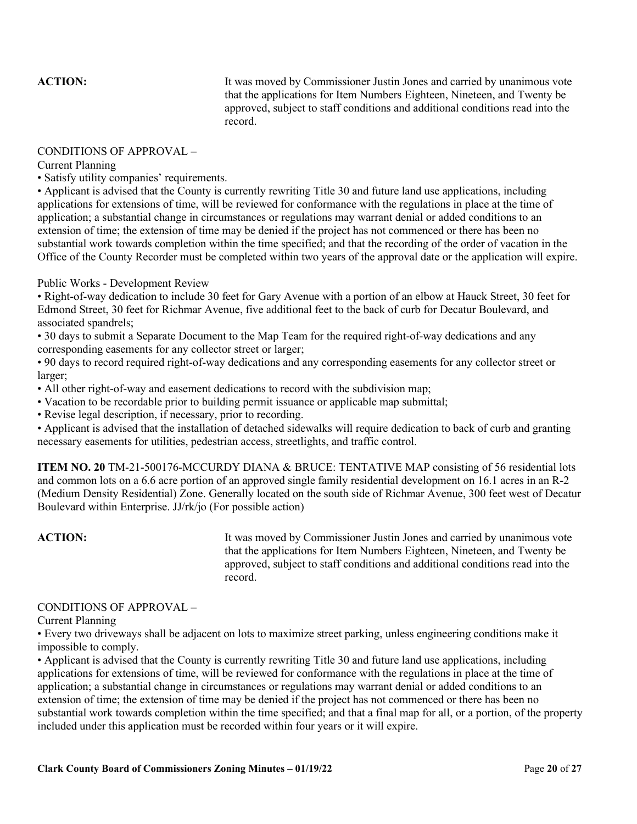**ACTION:** It was moved by Commissioner Justin Jones and carried by unanimous vote that the applications for Item Numbers Eighteen, Nineteen, and Twenty be approved, subject to staff conditions and additional conditions read into the record.

### CONDITIONS OF APPROVAL –

Current Planning

• Satisfy utility companies' requirements.

• Applicant is advised that the County is currently rewriting Title 30 and future land use applications, including applications for extensions of time, will be reviewed for conformance with the regulations in place at the time of application; a substantial change in circumstances or regulations may warrant denial or added conditions to an extension of time; the extension of time may be denied if the project has not commenced or there has been no substantial work towards completion within the time specified; and that the recording of the order of vacation in the Office of the County Recorder must be completed within two years of the approval date or the application will expire.

### Public Works - Development Review

• Right-of-way dedication to include 30 feet for Gary Avenue with a portion of an elbow at Hauck Street, 30 feet for Edmond Street, 30 feet for Richmar Avenue, five additional feet to the back of curb for Decatur Boulevard, and associated spandrels;

• 30 days to submit a Separate Document to the Map Team for the required right-of-way dedications and any corresponding easements for any collector street or larger;

• 90 days to record required right-of-way dedications and any corresponding easements for any collector street or larger;

• All other right-of-way and easement dedications to record with the subdivision map;

• Vacation to be recordable prior to building permit issuance or applicable map submittal;

• Revise legal description, if necessary, prior to recording.

• Applicant is advised that the installation of detached sidewalks will require dedication to back of curb and granting necessary easements for utilities, pedestrian access, streetlights, and traffic control.

**ITEM NO. 20** TM-21-500176-MCCURDY DIANA & BRUCE: TENTATIVE MAP consisting of 56 residential lots and common lots on a 6.6 acre portion of an approved single family residential development on 16.1 acres in an R-2 (Medium Density Residential) Zone. Generally located on the south side of Richmar Avenue, 300 feet west of Decatur Boulevard within Enterprise. JJ/rk/jo (For possible action)

ACTION: It was moved by Commissioner Justin Jones and carried by unanimous vote that the applications for Item Numbers Eighteen, Nineteen, and Twenty be approved, subject to staff conditions and additional conditions read into the record.

### CONDITIONS OF APPROVAL –

Current Planning

• Every two driveways shall be adjacent on lots to maximize street parking, unless engineering conditions make it impossible to comply.

• Applicant is advised that the County is currently rewriting Title 30 and future land use applications, including applications for extensions of time, will be reviewed for conformance with the regulations in place at the time of application; a substantial change in circumstances or regulations may warrant denial or added conditions to an extension of time; the extension of time may be denied if the project has not commenced or there has been no substantial work towards completion within the time specified; and that a final map for all, or a portion, of the property included under this application must be recorded within four years or it will expire.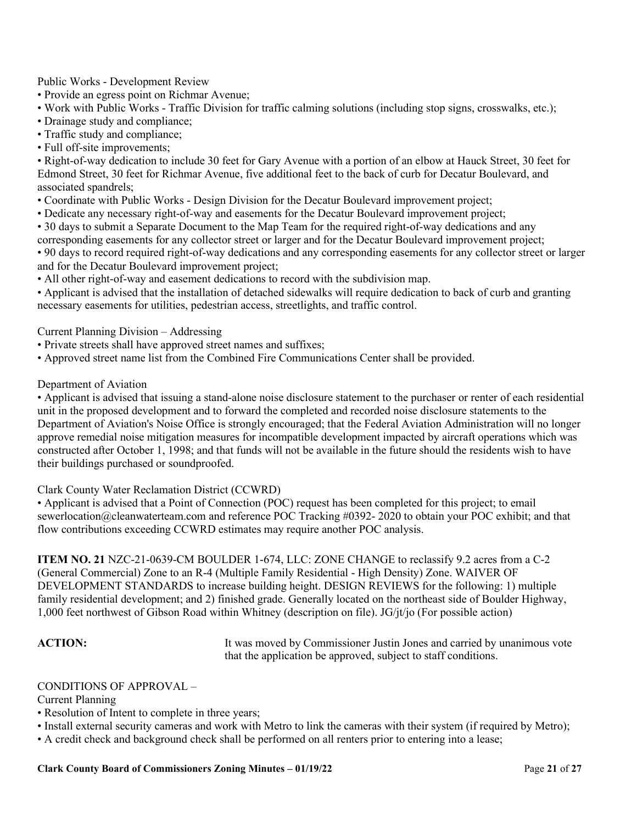Public Works - Development Review

• Provide an egress point on Richmar Avenue;

- Work with Public Works Traffic Division for traffic calming solutions (including stop signs, crosswalks, etc.);
- Drainage study and compliance;
- Traffic study and compliance;
- Full off-site improvements;

• Right-of-way dedication to include 30 feet for Gary Avenue with a portion of an elbow at Hauck Street, 30 feet for Edmond Street, 30 feet for Richmar Avenue, five additional feet to the back of curb for Decatur Boulevard, and associated spandrels;

- Coordinate with Public Works Design Division for the Decatur Boulevard improvement project;
- Dedicate any necessary right-of-way and easements for the Decatur Boulevard improvement project;
- 30 days to submit a Separate Document to the Map Team for the required right-of-way dedications and any
- corresponding easements for any collector street or larger and for the Decatur Boulevard improvement project;

• 90 days to record required right-of-way dedications and any corresponding easements for any collector street or larger and for the Decatur Boulevard improvement project;

• All other right-of-way and easement dedications to record with the subdivision map.

• Applicant is advised that the installation of detached sidewalks will require dedication to back of curb and granting necessary easements for utilities, pedestrian access, streetlights, and traffic control.

Current Planning Division – Addressing

- Private streets shall have approved street names and suffixes;
- Approved street name list from the Combined Fire Communications Center shall be provided.

### Department of Aviation

• Applicant is advised that issuing a stand-alone noise disclosure statement to the purchaser or renter of each residential unit in the proposed development and to forward the completed and recorded noise disclosure statements to the Department of Aviation's Noise Office is strongly encouraged; that the Federal Aviation Administration will no longer approve remedial noise mitigation measures for incompatible development impacted by aircraft operations which was constructed after October 1, 1998; and that funds will not be available in the future should the residents wish to have their buildings purchased or soundproofed.

Clark County Water Reclamation District (CCWRD)

• Applicant is advised that a Point of Connection (POC) request has been completed for this project; to email sewerlocation@cleanwaterteam.com and reference POC Tracking #0392- 2020 to obtain your POC exhibit; and that flow contributions exceeding CCWRD estimates may require another POC analysis.

**ITEM NO. 21** NZC-21-0639-CM BOULDER 1-674, LLC: ZONE CHANGE to reclassify 9.2 acres from a C-2 (General Commercial) Zone to an R-4 (Multiple Family Residential - High Density) Zone. WAIVER OF DEVELOPMENT STANDARDS to increase building height. DESIGN REVIEWS for the following: 1) multiple family residential development; and 2) finished grade. Generally located on the northeast side of Boulder Highway, 1,000 feet northwest of Gibson Road within Whitney (description on file). JG/jt/jo (For possible action)

ACTION: It was moved by Commissioner Justin Jones and carried by unanimous vote that the application be approved, subject to staff conditions.

### CONDITIONS OF APPROVAL –

Current Planning

- Resolution of Intent to complete in three years;
- Install external security cameras and work with Metro to link the cameras with their system (if required by Metro);
- A credit check and background check shall be performed on all renters prior to entering into a lease;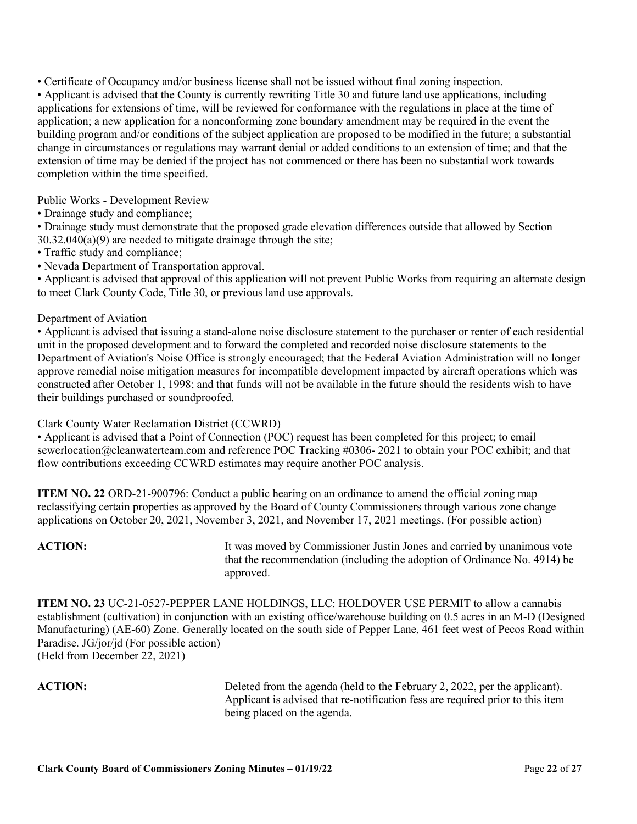• Certificate of Occupancy and/or business license shall not be issued without final zoning inspection.

• Applicant is advised that the County is currently rewriting Title 30 and future land use applications, including applications for extensions of time, will be reviewed for conformance with the regulations in place at the time of application; a new application for a nonconforming zone boundary amendment may be required in the event the building program and/or conditions of the subject application are proposed to be modified in the future; a substantial change in circumstances or regulations may warrant denial or added conditions to an extension of time; and that the extension of time may be denied if the project has not commenced or there has been no substantial work towards completion within the time specified.

Public Works - Development Review

• Drainage study and compliance;

• Drainage study must demonstrate that the proposed grade elevation differences outside that allowed by Section 30.32.040(a)(9) are needed to mitigate drainage through the site;

- Traffic study and compliance;
- Nevada Department of Transportation approval.

• Applicant is advised that approval of this application will not prevent Public Works from requiring an alternate design to meet Clark County Code, Title 30, or previous land use approvals.

### Department of Aviation

• Applicant is advised that issuing a stand-alone noise disclosure statement to the purchaser or renter of each residential unit in the proposed development and to forward the completed and recorded noise disclosure statements to the Department of Aviation's Noise Office is strongly encouraged; that the Federal Aviation Administration will no longer approve remedial noise mitigation measures for incompatible development impacted by aircraft operations which was constructed after October 1, 1998; and that funds will not be available in the future should the residents wish to have their buildings purchased or soundproofed.

Clark County Water Reclamation District (CCWRD)

• Applicant is advised that a Point of Connection (POC) request has been completed for this project; to email sewerlocation@cleanwaterteam.com and reference POC Tracking #0306- 2021 to obtain your POC exhibit; and that flow contributions exceeding CCWRD estimates may require another POC analysis.

**ITEM NO. 22** ORD-21-900796: Conduct a public hearing on an ordinance to amend the official zoning map reclassifying certain properties as approved by the Board of County Commissioners through various zone change applications on October 20, 2021, November 3, 2021, and November 17, 2021 meetings. (For possible action)

**ACTION:** It was moved by Commissioner Justin Jones and carried by unanimous vote that the recommendation (including the adoption of Ordinance No. 4914) be approved.

**ITEM NO. 23** UC-21-0527-PEPPER LANE HOLDINGS, LLC: HOLDOVER USE PERMIT to allow a cannabis establishment (cultivation) in conjunction with an existing office/warehouse building on 0.5 acres in an M-D (Designed Manufacturing) (AE-60) Zone. Generally located on the south side of Pepper Lane, 461 feet west of Pecos Road within Paradise. JG/jor/jd (For possible action) (Held from December 22, 2021)

**ACTION:** Deleted from the agenda (held to the February 2, 2022, per the applicant). Applicant is advised that re-notification fess are required prior to this item being placed on the agenda.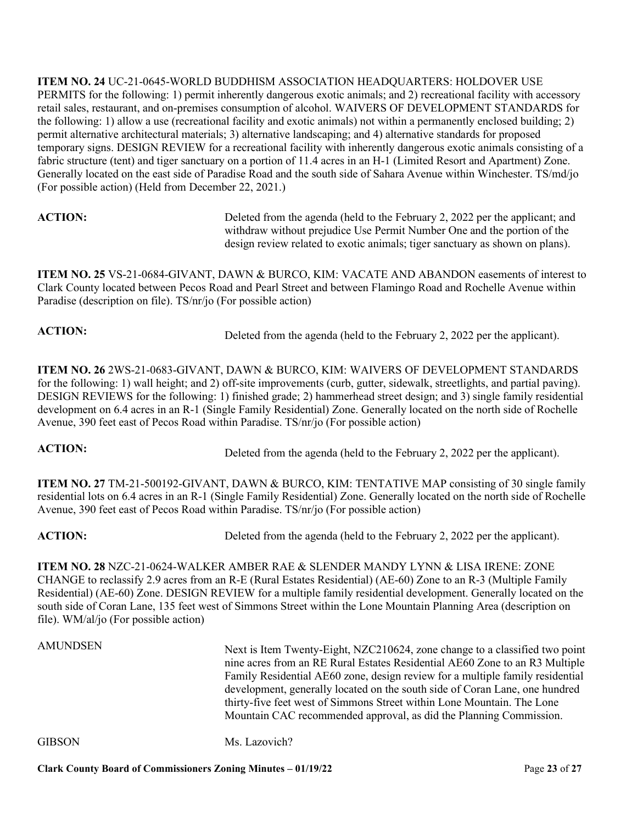**ITEM NO. 24** UC-21-0645-WORLD BUDDHISM ASSOCIATION HEADQUARTERS: HOLDOVER USE PERMITS for the following: 1) permit inherently dangerous exotic animals; and 2) recreational facility with accessory retail sales, restaurant, and on-premises consumption of alcohol. WAIVERS OF DEVELOPMENT STANDARDS for the following: 1) allow a use (recreational facility and exotic animals) not within a permanently enclosed building; 2) permit alternative architectural materials; 3) alternative landscaping; and 4) alternative standards for proposed temporary signs. DESIGN REVIEW for a recreational facility with inherently dangerous exotic animals consisting of a fabric structure (tent) and tiger sanctuary on a portion of 11.4 acres in an H-1 (Limited Resort and Apartment) Zone. Generally located on the east side of Paradise Road and the south side of Sahara Avenue within Winchester. TS/md/jo (For possible action) (Held from December 22, 2021.)

ACTION: Deleted from the agenda (held to the February 2, 2022 per the applicant; and withdraw without prejudice Use Permit Number One and the portion of the design review related to exotic animals; tiger sanctuary as shown on plans).

**ITEM NO. 25** VS-21-0684-GIVANT, DAWN & BURCO, KIM: VACATE AND ABANDON easements of interest to Clark County located between Pecos Road and Pearl Street and between Flamingo Road and Rochelle Avenue within Paradise (description on file). TS/nr/jo (For possible action)

**ACTION:** Deleted from the agenda (held to the February 2, 2022 per the applicant).

**ITEM NO. 26** 2WS-21-0683-GIVANT, DAWN & BURCO, KIM: WAIVERS OF DEVELOPMENT STANDARDS for the following: 1) wall height; and 2) off-site improvements (curb, gutter, sidewalk, streetlights, and partial paving). DESIGN REVIEWS for the following: 1) finished grade; 2) hammerhead street design; and 3) single family residential development on 6.4 acres in an R-1 (Single Family Residential) Zone. Generally located on the north side of Rochelle Avenue, 390 feet east of Pecos Road within Paradise. TS/nr/jo (For possible action)

**ACTION:** Deleted from the agenda (held to the February 2, 2022 per the applicant).

**ITEM NO. 27** TM-21-500192-GIVANT, DAWN & BURCO, KIM: TENTATIVE MAP consisting of 30 single family residential lots on 6.4 acres in an R-1 (Single Family Residential) Zone. Generally located on the north side of Rochelle Avenue, 390 feet east of Pecos Road within Paradise. TS/nr/jo (For possible action)

**ACTION:** Deleted from the agenda (held to the February 2, 2022 per the applicant).

**ITEM NO. 28** NZC-21-0624-WALKER AMBER RAE & SLENDER MANDY LYNN & LISA IRENE: ZONE CHANGE to reclassify 2.9 acres from an R-E (Rural Estates Residential) (AE-60) Zone to an R-3 (Multiple Family Residential) (AE-60) Zone. DESIGN REVIEW for a multiple family residential development. Generally located on the south side of Coran Lane, 135 feet west of Simmons Street within the Lone Mountain Planning Area (description on file). WM/al/jo (For possible action)

# AMUNDSEN Next is Item Twenty-Eight, NZC210624, zone change to a classified two point nine acres from an RE Rural Estates Residential AE60 Zone to an R3 Multiple Family Residential AE60 zone, design review for a multiple family residential development, generally located on the south side of Coran Lane, one hundred thirty-five feet west of Simmons Street within Lone Mountain. The Lone Mountain CAC recommended approval, as did the Planning Commission. GIBSON Ms. Lazovich?

**Clark County Board of Commissioners Zoning Minutes – 01/19/22** Page **23** of **27**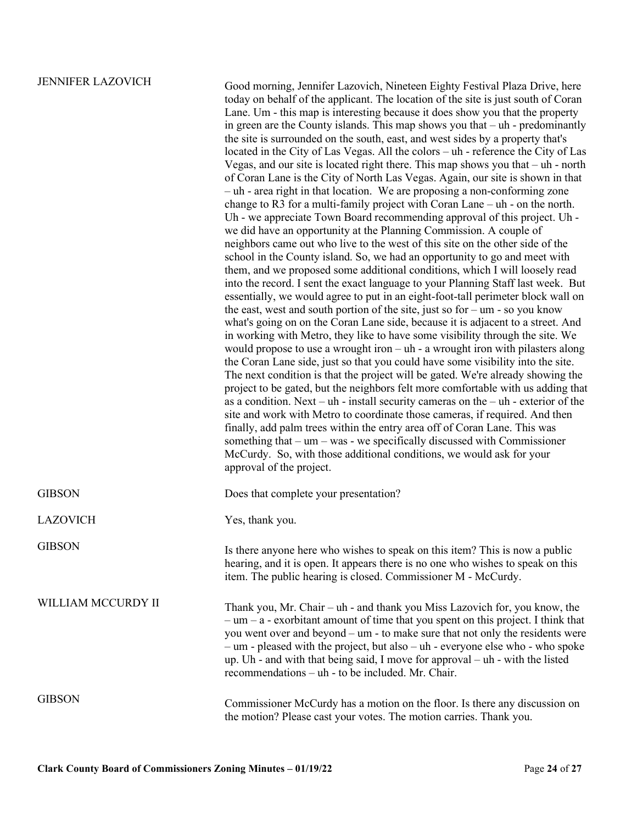JENNIFER LAZOVICH Good morning, Jennifer Lazovich, Nineteen Eighty Festival Plaza Drive, here today on behalf of the applicant. The location of the site is just south of Coran Lane. Um - this map is interesting because it does show you that the property in green are the County islands. This map shows you that – uh - predominantly the site is surrounded on the south, east, and west sides by a property that's located in the City of Las Vegas. All the colors – uh - reference the City of Las Vegas, and our site is located right there. This map shows you that – uh - north of Coran Lane is the City of North Las Vegas. Again, our site is shown in that – uh - area right in that location. We are proposing a non-conforming zone change to R3 for a multi-family project with Coran Lane – uh - on the north. Uh - we appreciate Town Board recommending approval of this project. Uh we did have an opportunity at the Planning Commission. A couple of neighbors came out who live to the west of this site on the other side of the school in the County island. So, we had an opportunity to go and meet with them, and we proposed some additional conditions, which I will loosely read into the record. I sent the exact language to your Planning Staff last week. But essentially, we would agree to put in an eight-foot-tall perimeter block wall on the east, west and south portion of the site, just so for  $-\text{um}$  - so you know what's going on on the Coran Lane side, because it is adjacent to a street. And in working with Metro, they like to have some visibility through the site. We would propose to use a wrought iron – uh - a wrought iron with pilasters along the Coran Lane side, just so that you could have some visibility into the site. The next condition is that the project will be gated. We're already showing the project to be gated, but the neighbors felt more comfortable with us adding that as a condition. Next – uh - install security cameras on the – uh - exterior of the site and work with Metro to coordinate those cameras, if required. And then finally, add palm trees within the entry area off of Coran Lane. This was something that – um – was - we specifically discussed with Commissioner McCurdy. So, with those additional conditions, we would ask for your approval of the project.

| <b>GIBSON</b>      | Does that complete your presentation?                                                                                                                                                                                                                                                                                                                                                                                                                                                    |
|--------------------|------------------------------------------------------------------------------------------------------------------------------------------------------------------------------------------------------------------------------------------------------------------------------------------------------------------------------------------------------------------------------------------------------------------------------------------------------------------------------------------|
| <b>LAZOVICH</b>    | Yes, thank you.                                                                                                                                                                                                                                                                                                                                                                                                                                                                          |
| <b>GIBSON</b>      | Is there anyone here who wishes to speak on this item? This is now a public<br>hearing, and it is open. It appears there is no one who wishes to speak on this<br>item. The public hearing is closed. Commissioner M - McCurdy.                                                                                                                                                                                                                                                          |
| WILLIAM MCCURDY II | Thank you, Mr. Chair – $uh$ - and thank you Miss Lazovich for, you know, the<br>$-$ um $-$ a - exorbitant amount of time that you spent on this project. I think that<br>you went over and beyond $-$ um $-$ to make sure that not only the residents were<br>$-$ um - pleased with the project, but also $-$ uh - everyone else who - who spoke<br>up. Uh - and with that being said, I move for approval $-$ uh - with the listed<br>recommendations – uh - to be included. Mr. Chair. |
| <b>GIBSON</b>      | Commissioner McCurdy has a motion on the floor. Is there any discussion on<br>the motion? Please cast your votes. The motion carries. Thank you.                                                                                                                                                                                                                                                                                                                                         |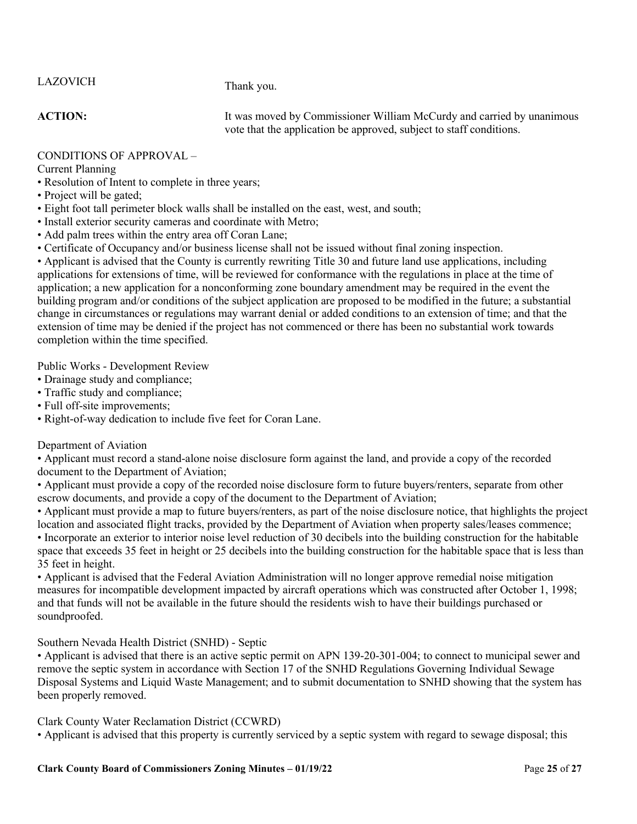# LAZOVICH Thank you.

**ACTION:** It was moved by Commissioner William McCurdy and carried by unanimous vote that the application be approved, subject to staff conditions.

# CONDITIONS OF APPROVAL –

Current Planning

- Resolution of Intent to complete in three years;
- Project will be gated;
- Eight foot tall perimeter block walls shall be installed on the east, west, and south;
- Install exterior security cameras and coordinate with Metro;
- Add palm trees within the entry area off Coran Lane;
- Certificate of Occupancy and/or business license shall not be issued without final zoning inspection.

• Applicant is advised that the County is currently rewriting Title 30 and future land use applications, including applications for extensions of time, will be reviewed for conformance with the regulations in place at the time of application; a new application for a nonconforming zone boundary amendment may be required in the event the building program and/or conditions of the subject application are proposed to be modified in the future; a substantial change in circumstances or regulations may warrant denial or added conditions to an extension of time; and that the extension of time may be denied if the project has not commenced or there has been no substantial work towards completion within the time specified.

Public Works - Development Review

- Drainage study and compliance;
- Traffic study and compliance;
- Full off-site improvements;
- Right-of-way dedication to include five feet for Coran Lane.

# Department of Aviation

• Applicant must record a stand-alone noise disclosure form against the land, and provide a copy of the recorded document to the Department of Aviation;

• Applicant must provide a copy of the recorded noise disclosure form to future buyers/renters, separate from other escrow documents, and provide a copy of the document to the Department of Aviation;

• Applicant must provide a map to future buyers/renters, as part of the noise disclosure notice, that highlights the project location and associated flight tracks, provided by the Department of Aviation when property sales/leases commence; • Incorporate an exterior to interior noise level reduction of 30 decibels into the building construction for the habitable space that exceeds 35 feet in height or 25 decibels into the building construction for the habitable space that is less than 35 feet in height.

• Applicant is advised that the Federal Aviation Administration will no longer approve remedial noise mitigation measures for incompatible development impacted by aircraft operations which was constructed after October 1, 1998; and that funds will not be available in the future should the residents wish to have their buildings purchased or soundproofed.

# Southern Nevada Health District (SNHD) - Septic

• Applicant is advised that there is an active septic permit on APN 139-20-301-004; to connect to municipal sewer and remove the septic system in accordance with Section 17 of the SNHD Regulations Governing Individual Sewage Disposal Systems and Liquid Waste Management; and to submit documentation to SNHD showing that the system has been properly removed.

# Clark County Water Reclamation District (CCWRD)

• Applicant is advised that this property is currently serviced by a septic system with regard to sewage disposal; this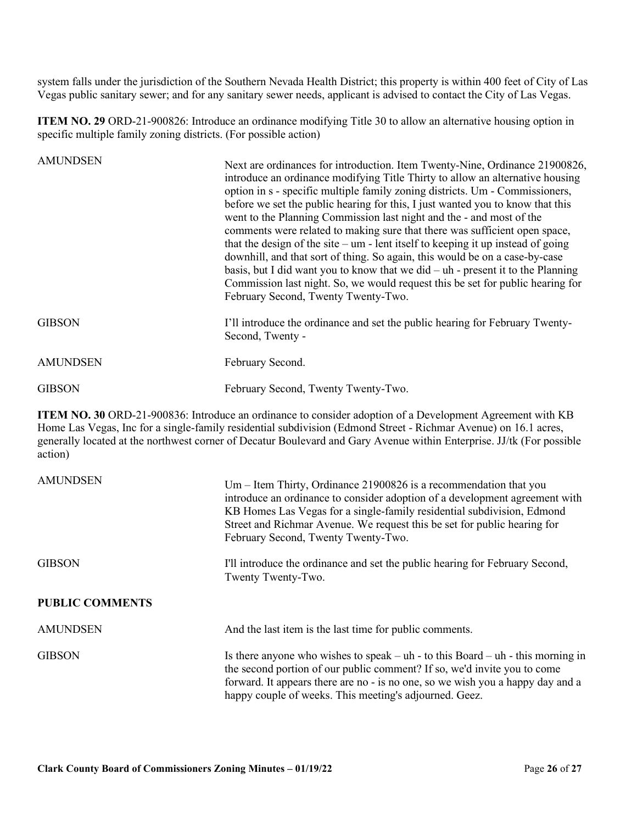system falls under the jurisdiction of the Southern Nevada Health District; this property is within 400 feet of City of Las Vegas public sanitary sewer; and for any sanitary sewer needs, applicant is advised to contact the City of Las Vegas.

**ITEM NO. 29** ORD-21-900826: Introduce an ordinance modifying Title 30 to allow an alternative housing option in specific multiple family zoning districts. (For possible action)

| <b>AMUNDSEN</b> | Next are ordinances for introduction. Item Twenty-Nine, Ordinance 21900826,<br>introduce an ordinance modifying Title Thirty to allow an alternative housing<br>option in s - specific multiple family zoning districts. Um - Commissioners,<br>before we set the public hearing for this, I just wanted you to know that this<br>went to the Planning Commission last night and the - and most of the<br>comments were related to making sure that there was sufficient open space,<br>that the design of the site $-\mathbf{u}$ - lent itself to keeping it up instead of going<br>downhill, and that sort of thing. So again, this would be on a case-by-case<br>basis, but I did want you to know that we did $-$ uh - present it to the Planning<br>Commission last night. So, we would request this be set for public hearing for<br>February Second, Twenty Twenty-Two. |
|-----------------|--------------------------------------------------------------------------------------------------------------------------------------------------------------------------------------------------------------------------------------------------------------------------------------------------------------------------------------------------------------------------------------------------------------------------------------------------------------------------------------------------------------------------------------------------------------------------------------------------------------------------------------------------------------------------------------------------------------------------------------------------------------------------------------------------------------------------------------------------------------------------------|
| <b>GIBSON</b>   | I'll introduce the ordinance and set the public hearing for February Twenty-<br>Second, Twenty -                                                                                                                                                                                                                                                                                                                                                                                                                                                                                                                                                                                                                                                                                                                                                                               |
| <b>AMUNDSEN</b> | February Second.                                                                                                                                                                                                                                                                                                                                                                                                                                                                                                                                                                                                                                                                                                                                                                                                                                                               |
| <b>GIBSON</b>   | February Second, Twenty Twenty-Two.                                                                                                                                                                                                                                                                                                                                                                                                                                                                                                                                                                                                                                                                                                                                                                                                                                            |

**ITEM NO. 30** ORD-21-900836: Introduce an ordinance to consider adoption of a Development Agreement with KB Home Las Vegas, Inc for a single-family residential subdivision (Edmond Street - Richmar Avenue) on 16.1 acres, generally located at the northwest corner of Decatur Boulevard and Gary Avenue within Enterprise. JJ/tk (For possible action)

| <b>AMUNDSEN</b>        | Um – Item Thirty, Ordinance 21900826 is a recommendation that you<br>introduce an ordinance to consider adoption of a development agreement with<br>KB Homes Las Vegas for a single-family residential subdivision, Edmond<br>Street and Richmar Avenue. We request this be set for public hearing for<br>February Second, Twenty Twenty-Two. |
|------------------------|-----------------------------------------------------------------------------------------------------------------------------------------------------------------------------------------------------------------------------------------------------------------------------------------------------------------------------------------------|
| <b>GIBSON</b>          | I'll introduce the ordinance and set the public hearing for February Second,<br>Twenty Twenty-Two.                                                                                                                                                                                                                                            |
| <b>PUBLIC COMMENTS</b> |                                                                                                                                                                                                                                                                                                                                               |
| <b>AMUNDSEN</b>        | And the last item is the last time for public comments.                                                                                                                                                                                                                                                                                       |
| <b>GIBSON</b>          | Is there anyone who wishes to speak $-\text{uh}$ - to this Board $-\text{uh}$ - this morning in<br>the second portion of our public comment? If so, we'd invite you to come<br>forward. It appears there are no - is no one, so we wish you a happy day and a<br>happy couple of weeks. This meeting's adjourned. Geez.                       |